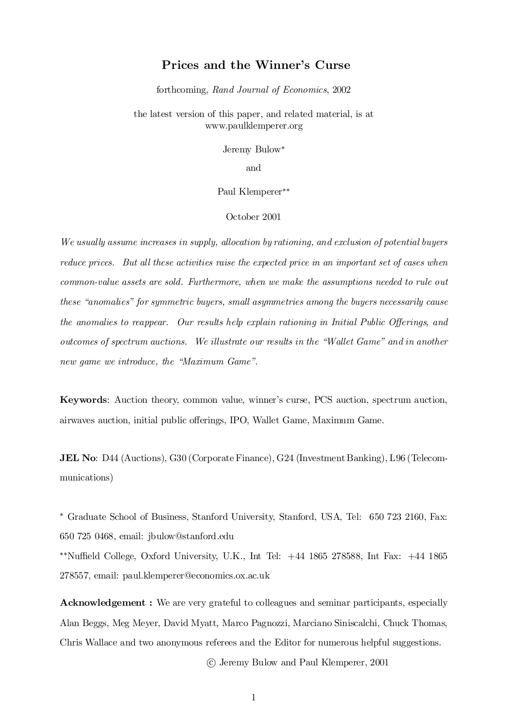## Prices and the Winner's Curse

forthcoming, Rand Journal of Economics, 2002

the latest version of this paper, and related material, is at www.paulklemperer.org

Jeremy Bulow\*

and

Paul Klemperer<sup>\*\*</sup>

October 2001

We usually assume increases in supply, allocation by rationing, and exclusion of potential buyers reduce prices. But all these activities raise the expected price in an important set of cases when common-value assets are sold. Furthermore, when we make the assumptions needed to rule out these "anomalies" for symmetric buyers, small asymmetries among the buyers necessarily cause the anomalies to reappear. Our results help explain rationing in Initial Public Offerings, and outcomes of spectrum auctions. We illustrate our results in the \Wallet Game" and in another new game we introduce, the "Maximum Game".

Keywords: Auction theory, common value, winner's curse, PCS auction, spectrum auction, airwaves auction, initial public offerings, IPO, Wallet Game, Maximum Game.

JEL No: D44 (Auctions), G30 (CorporateFinance), G24 (Investment Banking), L96 (Telecommunications)

¤ Graduate School of Business, Stanford University, Stanford, USA, Tel: 650 723 2160, Fax: 650 725 0468, email: jbulow@stanford.edu  $*$ <sup>\*</sup>Nuffield College, Oxford University, U.K., Int Tel:  $+44$  1865 278588, Int Fax:  $+44$  1865

278557, email: paul.klemperer@economics.ox.ac.uk

Acknowledgement : We are very grateful to colleagues and seminar participants, especially Alan Beggs, Meg Meyer, David Myatt, Marco Pagnozzi, Marciano Siniscalchi, Chuck Thomas, Chris Wallace and two anonymous referees and the Editor for numerous helpful suggestions.

°c Jeremy Bulow and Paul Klemperer, 2001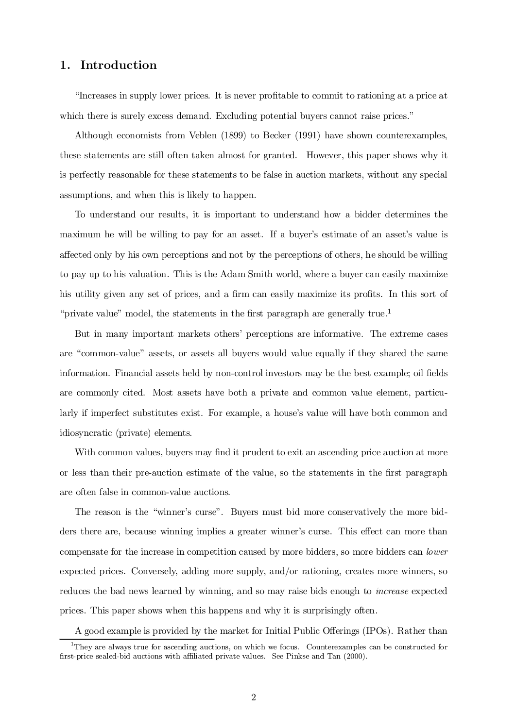## 1. Introduction

\Increases in supply lower prices. It is never pro¯table to commit to rationing at a price at which there is surely excess demand. Excluding potential buyers cannot raise prices."

Although economists from Veblen (1899) to Becker (1991) have shown counterexamples, these statements are still often taken almost for granted. However, this paper shows why it is perfectly reasonable for these statements to be false in auction markets, without any special assumptions, and when this is likely to happen.

To understand our results, it is important to understand how a bidder determines the maximum he will be willing to pay for an asset. If a buyer's estimate of an asset's value is affected only by his own perceptions and not by the perceptions of others, he should be willing to pay up to his valuation. This is the Adam Smith world, where a buyer can easily maximize his utility given any set of prices, and a firm can easily maximize its profits. In this sort of "private value" model, the statements in the first paragraph are generally true.<sup>1</sup>

But in many important markets others' perceptions are informative. The extreme cases are "common-value" assets, or assets all buyers would value equally if they shared the same information. Financial assets held by non-control investors may be the best example; oil fields are commonly cited. Most assets have both a private and common value element, particularly if imperfect substitutes exist. For example, a house's value will have both common and idiosyncratic (private) elements.

With common values, buyers may find it prudent to exit an ascending price auction at more or less than their pre-auction estimate of the value, so the statements in the first paragraph are often false in common-value auctions.

The reason is the "winner's curse". Buyers must bid more conservatively the more bidders there are, because winning implies a greater winner's curse. This effect can more than compensate for the increase in competition caused by more bidders, so more bidders can lower expected prices. Conversely, adding more supply, and/or rationing, creates more winners, so reduces the bad news learned by winning, and so may raise bids enough to increase expected prices. This paper shows when this happens and why it is surprisingly often.

A good example is provided by the market for Initial Public Offerings (IPOs). Rather than

<sup>&</sup>lt;sup>1</sup>They are always true for ascending auctions, on which we focus. Counterexamples can be constructed for first-price sealed-bid auctions with affiliated private values. See Pinkse and Tan (2000).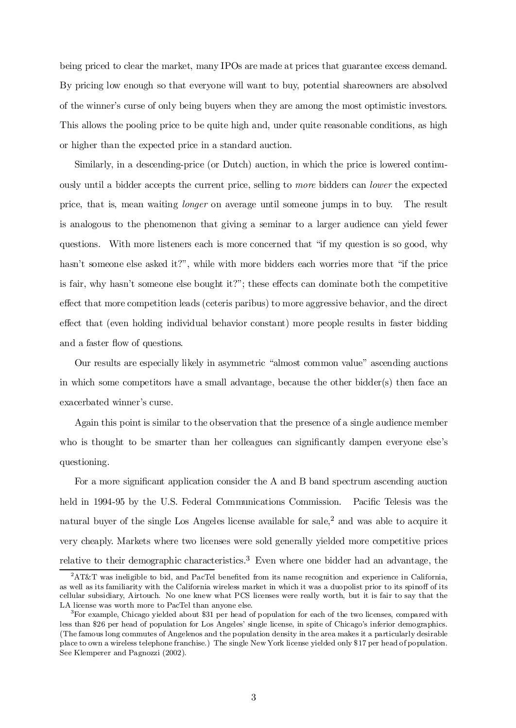being priced to clear the market, many IPOs are made at prices that guarantee excess demand. By pricing low enough so that everyone will want to buy, potential shareowners are absolved of the winner's curse of only being buyers when they are among the most optimistic investors. This allows the pooling price to be quite high and, under quite reasonable conditions, as high or higher than the expected price in a standard auction.

Similarly, in a descending-price (or Dutch) auction, in which the price is lowered continuously until a bidder accepts the current price, selling to more bidders can lower the expected price, that is, mean waiting longer on average until someone jumps in to buy. The result is analogous to the phenomenon that giving a seminar to a larger audience can yield fewer questions. With more listeners each is more concerned that \if my question is so good, why hasn't someone else asked it?", while with more bidders each worries more that "if the price is fair, why hasn't someone else bought it?"; these effects can dominate both the competitive effect that more competition leads (ceteris paribus) to more aggressive behavior, and the direct effect that (even holding individual behavior constant) more people results in faster bidding and a faster flow of questions.

Our results are especially likely in asymmetric "almost common value" ascending auctions in which some competitors have a small advantage, because the other bidder(s) then face an exacerbated winner's curse.

Again this point is similar to the observation that the presence of a single audience member who is thought to be smarter than her colleagues can significantly dampen everyone else's questioning.

For a more significant application consider the  $A$  and  $B$  band spectrum ascending auction held in 1994-95 by the U.S. Federal Communications Commission. Pacific Telesis was the natural buyer of the single Los Angeles license available for sale,<sup>2</sup> and was able to acquire it very cheaply. Markets where two licenses were sold generally yielded more competitive prices relative to their demographic characteristics. <sup>3</sup> Even where one bidder had an advantage, the

 ${}^{2}$ AT&T was ineligible to bid, and PacTel benefited from its name recognition and experience in California, as well as its familiarity with the California wireless market in which it was a duopolist prior to its spinoff of its cellular subsidiary, Airtouch. No one knew what PCS licenses were really worth, but it is fair to say that the LA license was worth more to PacTel than anyone else.

<sup>3</sup>For example, Chicago yielded about \$31 per head of population for each of the two licenses, compared with less than \$26 per head of population for Los Angeles' single license, in spite of Chicago's inferior demographics. (The famous long commutes of Angelenos and the population density in the area makes it a particularly desirable place to own a wireless telephone franchise.) The single New York license yielded only \$17 per head of population. See Klemperer and Pagnozzi (2002).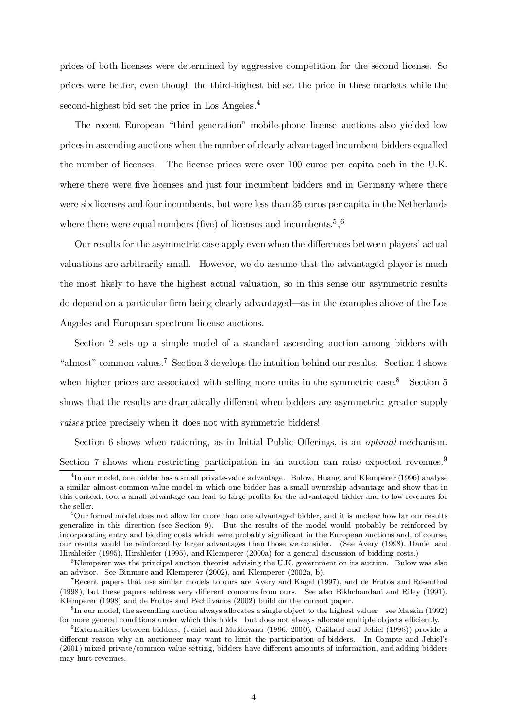prices of both licenses were determined by aggressive competition for the second license. So prices were better, even though the third-highest bid set the price in these markets while the second-highest bid set the price in Los Angeles.<sup>4</sup>

The recent European \third generation" mobile-phone license auctions also yielded low prices in ascending auctions when the number of clearly advantaged incumbent bidders equalled the number of licenses. The license prices were over 100 euros per capita each in the U.K. where there were five licenses and just four incumbent bidders and in Germany where there were six licenses and four incumbents, but were less than 35 euros per capita in the Netherlands where there were equal numbers (five) of licenses and incumbents.<sup>5</sup>,<sup>6</sup>

Our results for the asymmetric case apply even when the differences between players' actual valuations are arbitrarily small. However, we do assume that the advantaged player is much the most likely to have the highest actual valuation, so in this sense our asymmetric results do depend on a particular firm being clearly advantaged—as in the examples above of the Los Angeles and European spectrum license auctions.

Section 2 sets up a simple model of a standard ascending auction among bidders with "almost" common values.<sup>7</sup> Section 3 develops the intuition behind our results. Section 4 shows when higher prices are associated with selling more units in the symmetric case.<sup>8</sup> Section 5 shows that the results are dramatically different when bidders are asymmetric: greater supply raises price precisely when it does not with symmetric bidders!

Section 6 shows when rationing, as in Initial Public Offerings, is an *optimal* mechanism. Section 7 shows when restricting participation in an auction can raise expected revenues.<sup>9</sup>

<sup>&</sup>lt;sup>4</sup>In our model, one bidder has a small private-value advantage. Bulow, Huang, and Klemperer (1996) analyse a similar almost-common-value model in which one bidder has a small ownership advantage and show that in this context, too, a small advantage can lead to large profits for the advantaged bidder and to low revenues for the seller.

<sup>5</sup>Our formal model does not allow for more than one advantaged bidder, and it is unclear how far our results generalize in this direction (see Section 9). But the results of the model would probably be reinforced by incorporating entry and bidding costs which were probably significant in the European auctions and, of course, our results would be reinforced by larger advantages than those we consider. (See Avery (1998), Daniel and Hirshleifer (1995), Hirshleifer (1995), and Klemperer (2000a) for a general discussion of bidding costs.)

<sup>6</sup>Klemperer was the principal auction theorist advising the U.K. government on its auction. Bulow was also an advisor. See Binmore and Klemperer (2002), and Klemperer (2002a, b).

<sup>7</sup>Recent papers that use similar models to ours are Avery and Kagel (1997), and de Frutos and Rosenthal (1998), but these papers address very different concerns from ours. See also Bikhchandani and Riley (1991). Klemperer (1998) and de Frutos and Pechlivanos (2002) build on the current paper.

 ${}^{8}$ In our model, the ascending auction always allocates a single object to the highest valuer—see Maskin (1992) for more general conditions under which this holds—but does not always allocate multiple objects efficiently.

<sup>9</sup>Externalities between bidders, (Jehiel and Moldovanu (1996, 2000), Caillaud and Jehiel (1998)) provide a different reason why an auctioneer may want to limit the participation of bidders. In Compte and Jehiel's (2001) mixed private/common value setting, bidders have different amounts of information, and adding bidders may hurt revenues.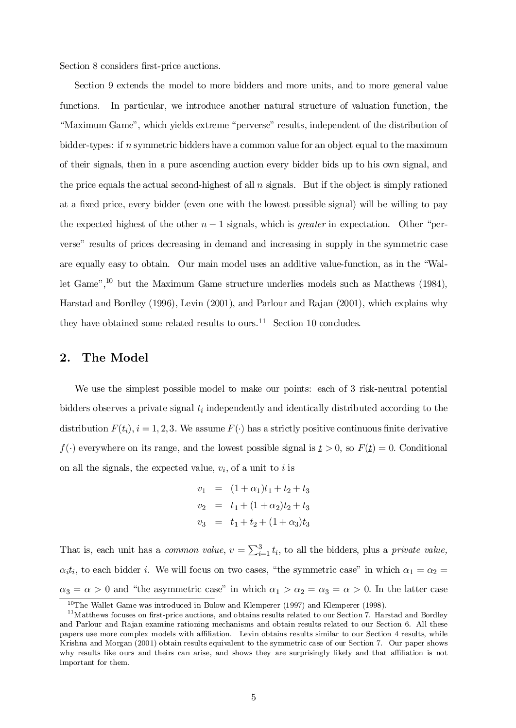Section 8 considers first-price auctions.

Section 9 extends the model to more bidders and more units, and to more general value functions. In particular, we introduce another natural structure of valuation function, the "Maximum Game", which yields extreme "perverse" results, independent of the distribution of bidder-types: if n symmetric bidders have a common value for an object equal to the maximum of their signals, then in a pure ascending auction every bidder bids up to his own signal, and the price equals the actual second-highest of all  $n$  signals. But if the object is simply rationed at a fixed price, every bidder (even one with the lowest possible signal) will be willing to pay the expected highest of the other  $n-1$  signals, which is *greater* in expectation. Other "perverse" results of prices decreasing in demand and increasing in supply in the symmetric case are equally easy to obtain. Our main model uses an additive value-function, as in the "Wallet Game",<sup>10</sup> but the Maximum Game structure underlies models such as Matthews (1984), Harstad and Bordley (1996), Levin (2001), and Parlour and Rajan (2001), which explains why they have obtained some related results to ours.<sup>11</sup> Section 10 concludes.

## 2. The Model

We use the simplest possible model to make our points: each of 3 risk-neutral potential bidders observes a private signal  $t_i$  independently and identically distributed according to the distribution  $F(t_i)$ ,  $i = 1, 2, 3$ . We assume  $F(\cdot)$  has a strictly positive continuous finite derivative  $f(\cdot)$  everywhere on its range, and the lowest possible signal is  $t > 0$ , so  $F(t) = 0$ . Conditional on all the signals, the expected value,  $v_i$ , of a unit to i is

$$
v_1 = (1 + \alpha_1)t_1 + t_2 + t_3
$$
  
\n
$$
v_2 = t_1 + (1 + \alpha_2)t_2 + t_3
$$
  
\n
$$
v_3 = t_1 + t_2 + (1 + \alpha_3)t_3
$$

That is, each unit has a *common value*,  $v = \sum_{i=1}^{3} t_i$ , to all the bidders, plus a *private value*,  $\alpha_i t_i$ , to each bidder i. We will focus on two cases, "the symmetric case" in which  $\alpha_1 = \alpha_2 =$  $\alpha_3 = \alpha > 0$  and "the asymmetric case" in which  $\alpha_1 > \alpha_2 = \alpha_3 = \alpha > 0$ . In the latter case

<sup>&</sup>lt;sup>10</sup>The Wallet Game was introduced in Bulow and Klemperer (1997) and Klemperer (1998).

 $11$ Matthews focuses on first-price auctions, and obtains results related to our Section 7. Harstad and Bordley and Parlour and Rajan examine rationing mechanisms and obtain results related to our Section 6. All these papers use more complex models with affiliation. Levin obtains results similar to our Section 4 results, while Krishna and Morgan (2001) obtain results equivalent to the symmetric case of our Section 7. Our paper shows why results like ours and theirs can arise, and shows they are surprisingly likely and that affiliation is not important for them.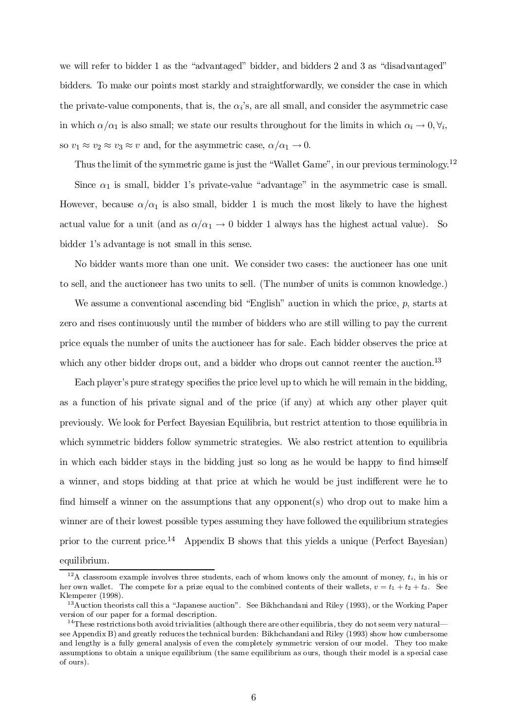we will refer to bidder 1 as the "advantaged" bidder, and bidders 2 and 3 as "disadvantaged" bidders. To make our points most starkly and straightforwardly, we consider the case in which the private-value components, that is, the  $\alpha_i$ 's, are all small, and consider the asymmetric case in which  $\alpha/\alpha_1$  is also small; we state our results throughout for the limits in which  $\alpha_i \to 0, \forall i$ ; so  $v_1 \approx v_2 \approx v_3 \approx v$  and, for the asymmetric case,  $\alpha/\alpha_1 \to 0$ .

Thus the limit of the symmetric game is just the "Wallet Game", in our previous terminology.<sup>12</sup>

Since  $\alpha_1$  is small, bidder 1's private-value "advantage" in the asymmetric case is small. However, because  $\alpha/\alpha_1$  is also small, bidder 1 is much the most likely to have the highest actual value for a unit (and as  $\alpha/\alpha_1 \rightarrow 0$  bidder 1 always has the highest actual value). So bidder 1's advantage is not small in this sense.

No bidder wants more than one unit. We consider two cases: the auctioneer has one unit to sell, and the auctioneer has two units to sell. (The number of units is common knowledge.)

We assume a conventional ascending bid "English" auction in which the price,  $p$ , starts at zero and rises continuously until the number of bidders who are still willing to pay the current price equals the number of units the auctioneer has for sale. Each bidder observes the price at which any other bidder drops out, and a bidder who drops out cannot reenter the auction.<sup>13</sup>

Each player's pure strategy specifies the price level up to which he will remain in the bidding, as a function of his private signal and of the price (if any) at which any other player quit previously. We look for Perfect Bayesian Equilibria, but restrict attention to those equilibria in which symmetric bidders follow symmetric strategies. We also restrict attention to equilibria in which each bidder stays in the bidding just so long as he would be happy to find himself a winner, and stops bidding at that price at which he would be just indifferent were he to find himself a winner on the assumptions that any opponent(s) who drop out to make him a winner are of their lowest possible types assuming they have followed the equilibrium strategies prior to the current price.<sup>14</sup> Appendix B shows that this yields a unique (Perfect Bayesian) equilibrium.

<sup>&</sup>lt;sup>12</sup>A classroom example involves three students, each of whom knows only the amount of money,  $t_i$ , in his or her own wallet. The compete for a prize equal to the combined contents of their wallets,  $v = t_1 + t_2 + t_3$ . See Klemperer (1998).

 $13A$ uction theorists call this a "Japanese auction". See Bikhchandani and Riley (1993), or the Working Paper version of our paper for a formal description.

 $14$ These restrictions both avoid trivialities (although there are other equilibria, they do not seem very natural see Appendix B) and greatly reduces the technical burden: Bikhchandani and Riley (1993) show how cumbersome and lengthy is a fully general analysis of even the completely symmetric version of our model. They too make assumptions to obtain a unique equilibrium (the same equilibrium as ours, though their model is a special case of ours).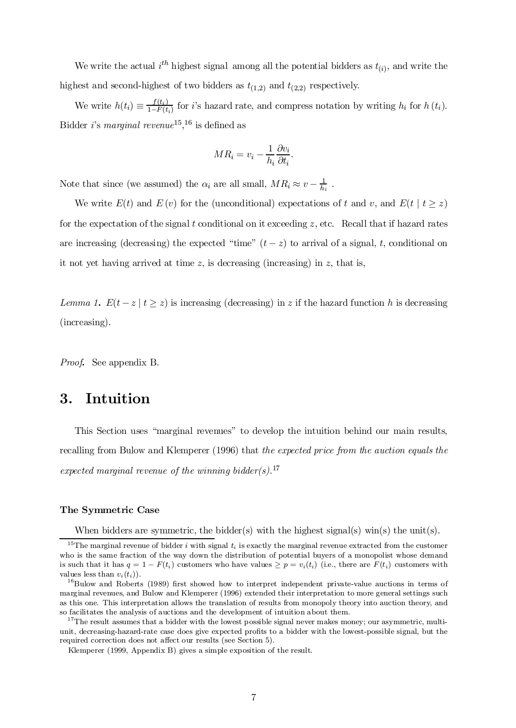We write the actual  $i^{th}$  highest signal among all the potential bidders as  $t_{(i)}$ , and write the highest and second-highest of two bidders as  $t_{(1,2)}$  and  $t_{(2,2)}$  respectively.

We write  $h(t_i) \equiv \frac{f(t_i)}{1 - F(t_i)}$  $\frac{f(t_i)}{1-F(t_i)}$  for *i*'s hazard rate, and compress notation by writing  $h_i$  for  $h(t_i)$ . Bidder *i*'s *marginal revenue*<sup>15</sup>,<sup>16</sup> is defined as

$$
MR_i = v_i - \frac{1}{h_i} \frac{\partial v_i}{\partial t_i}.
$$

Note that since (we assumed) the  $\alpha_i$  are all small,  $MR_i \approx v - \frac{1}{h_i}$  $\frac{1}{h_i}$  .

We write  $E(t)$  and  $E(v)$  for the (unconditional) expectations of t and v, and  $E(t | t \ge z)$ for the expectation of the signal t conditional on it exceeding  $z$ , etc. Recall that if hazard rates are increasing (decreasing) the expected "time"  $(t - z)$  to arrival of a signal, t, conditional on it not yet having arrived at time  $z$ , is decreasing (increasing) in  $z$ , that is,

Lemma 1.  $E(t - z | t \ge z)$  is increasing (decreasing) in z if the hazard function h is decreasing (increasing).

Proof. See appendix B.

# 3. Intuition

This Section uses "marginal revenues" to develop the intuition behind our main results, recalling from Bulow and Klemperer (1996) that the expected price from the auction equals the expected marginal revenue of the winning bidder(s).<sup>17</sup>

## The Symmetric Case

When bidders are symmetric, the bidder(s) with the highest signal(s) win(s) the unit(s).

<sup>&</sup>lt;sup>15</sup>The marginal revenue of bidder i with signal  $t_i$  is exactly the marginal revenue extracted from the customer who is the same fraction of the way down the distribution of potential buyers of a monopolist whose demand is such that it has  $q = 1 - F(t_i)$  customers who have values  $\geq p = v_i(t_i)$  (i.e., there are  $F(t_i)$  customers with values less than  $v_i(t_i)$ .

 $^{16}$ Bulow and Roberts (1989) first showed how to interpret independent private-value auctions in terms of marginal revenues, and Bulow and Klemperer (1996) extended their interpretation to more general settings such as this one. This interpretation allows the translation of results from monopoly theory into auction theory, and so facilitates the analysis of auctions and the development of intuition about them.

<sup>&</sup>lt;sup>17</sup>The result assumes that a bidder with the lowest possible signal never makes money; our asymmetric, multiunit, decreasing-hazard-rate case does give expected profits to a bidder with the lowest-possible signal, but the required correction does not affect our results (see Section 5).

Klemperer (1999, Appendix B) gives a simple exposition of the result.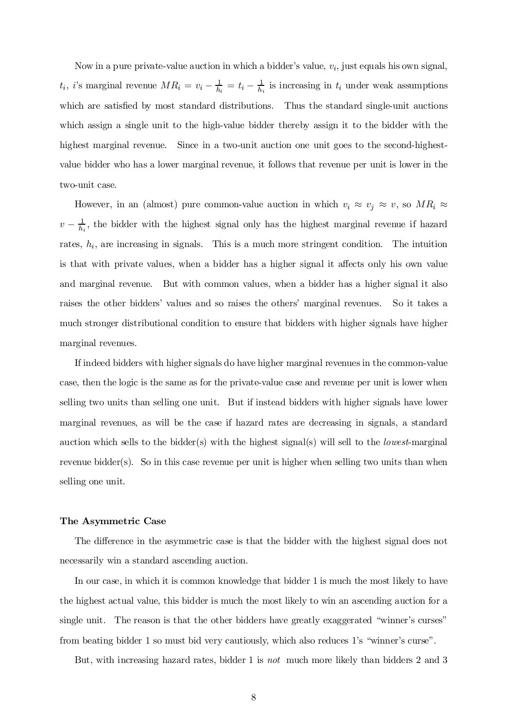Now in a pure private-value auction in which a bidder's value,  $v_i$ , just equals his own signal,  $t_i$ , *i*'s marginal revenue  $MR_i = v_i - \frac{1}{h_i}$  $\frac{1}{h_i} = t_i - \frac{1}{h_i}$  $\frac{1}{h_i}$  is increasing in  $t_i$  under weak assumptions which are satisfied by most standard distributions. Thus the standard single-unit auctions which assign a single unit to the high-value bidder thereby assign it to the bidder with the highest marginal revenue. Since in a two-unit auction one unit goes to the second-highestvalue bidder who has a lower marginal revenue, it follows that revenue per unit is lower in the two-unit case.

However, in an (almost) pure common-value auction in which  $v_i \approx v_j \approx v$ , so  $MR_i \approx$  $v-\frac{1}{h_i}$  $\frac{1}{h_i}$ , the bidder with the highest signal only has the highest marginal revenue if hazard rates,  $h_i$ , are increasing in signals. This is a much more stringent condition. The intuition is that with private values, when a bidder has a higher signal it affects only his own value and marginal revenue. But with common values, when a bidder has a higher signal it also raises the other bidders' values and so raises the others' marginal revenues. So it takes a much stronger distributional condition to ensure that bidders with higher signals have higher marginal revenues.

If indeed bidders with higher signals do have higher marginal revenues in the common-value case, then the logic is the same as for the private-value case and revenue per unit is lower when selling two units than selling one unit. But if instead bidders with higher signals have lower marginal revenues, as will be the case if hazard rates are decreasing in signals, a standard auction which sells to the bidder(s) with the highest signal(s) will sell to the *lowest*-marginal revenue bidder(s). So in this case revenue per unit is higher when selling two units than when selling one unit.

### The Asymmetric Case

The difference in the asymmetric case is that the bidder with the highest signal does not necessarily win a standard ascending auction.

In our case, in which it is common knowledge that bidder 1 is much the most likely to have the highest actual value, this bidder is much the most likely to win an ascending auction for a single unit. The reason is that the other bidders have greatly exaggerated "winner's curses" from beating bidder 1 so must bid very cautiously, which also reduces 1's \winner's curse".

But, with increasing hazard rates, bidder 1 is not much more likely than bidders 2 and 3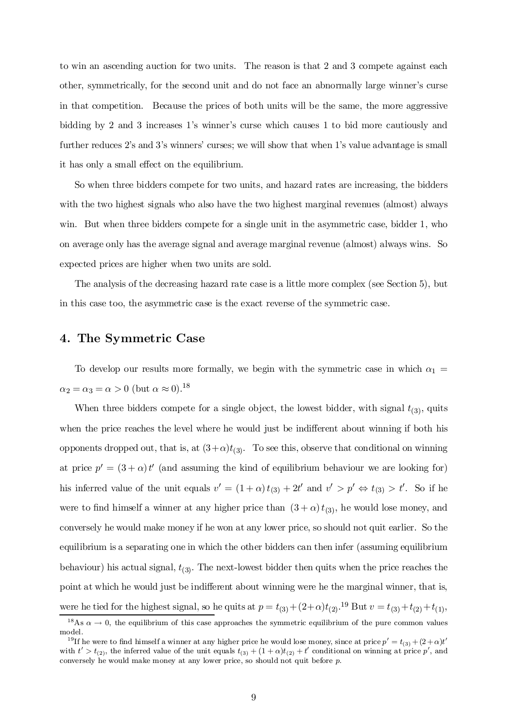to win an ascending auction for two units. The reason is that 2 and 3 compete against each other, symmetrically, for the second unit and do not face an abnormally large winner's curse in that competition. Because the prices of both units will be the same, the more aggressive bidding by 2 and 3 increases 1's winner's curse which causes 1 to bid more cautiously and further reduces 2's and 3's winners' curses; we will show that when 1's value advantage is small it has only a small effect on the equilibrium.

So when three bidders compete for two units, and hazard rates are increasing, the bidders with the two highest signals who also have the two highest marginal revenues (almost) always win. But when three bidders compete for a single unit in the asymmetric case, bidder 1, who on average only has the average signal and average marginal revenue (almost) always wins. So expected prices are higher when two units are sold.

The analysis of the decreasing hazard rate case is a little more complex (see Section 5), but in this case too, the asymmetric case is the exact reverse of the symmetric case.

## 4. The Symmetric Case

To develop our results more formally, we begin with the symmetric case in which  $\alpha_1 =$  $\alpha_2 = \alpha_3 = \alpha > 0$  (but  $\alpha \approx 0$ ).<sup>18</sup>

When three bidders compete for a single object, the lowest bidder, with signal  $t_{(3)}$ , quits when the price reaches the level where he would just be indifferent about winning if both his opponents dropped out, that is, at  $(3+\alpha)t_{(3)}$ . To see this, observe that conditional on winning at price  $p' = (3 + \alpha)t'$  (and assuming the kind of equilibrium behaviour we are looking for) his inferred value of the unit equals  $v' = (1 + \alpha) t_{(3)} + 2t'$  and  $v' > p' \Leftrightarrow t_{(3)} > t'$ . So if he were to find himself a winner at any higher price than  $(3 + \alpha) t_{(3)}$ , he would lose money, and conversely he would make money if he won at any lower price, so should not quit earlier. So the equilibrium is a separating one in which the other bidders can then infer (assuming equilibrium behaviour) his actual signal,  $t_{(3)}$ . The next-lowest bidder then quits when the price reaches the point at which he would just be indifferent about winning were he the marginal winner, that is, were he tied for the highest signal, so he quits at  $p = t_{(3)} + (2+\alpha)t_{(2)}$ .<sup>19</sup> But  $v = t_{(3)} + t_{(2)} + t_{(1)}$ ,

<sup>&</sup>lt;sup>18</sup>As  $\alpha \to 0$ , the equilibrium of this case approaches the symmetric equilibrium of the pure common values model.

<sup>&</sup>lt;sup>19</sup>If he were to find himself a winner at any higher price he would lose money, since at price  $p'=t_{(3)}+(2+\alpha)t'$ with  $t' > t_{(2)}$ , the inferred value of the unit equals  $t_{(3)} + (1 + \alpha)t_{(2)} + t'$  conditional on winning at price p', and conversely he would make money at any lower price, so should not quit before p.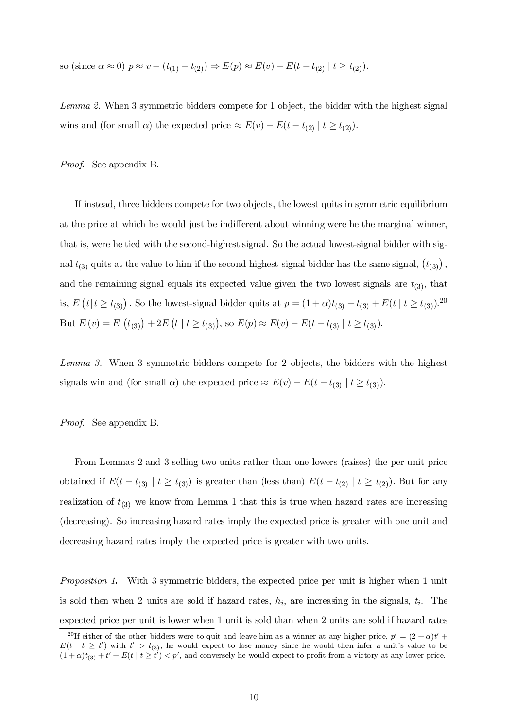so (since 
$$
\alpha \approx 0
$$
)  $p \approx v - (t_{(1)} - t_{(2)}) \Rightarrow E(p) \approx E(v) - E(t - t_{(2)} | t \ge t_{(2)}).$ 

Lemma 2. When 3 symmetric bidders compete for 1 object, the bidder with the highest signal wins and (for small  $\alpha$ ) the expected price  $\approx E(v) - E(t - t_{(2)} | t \ge t_{(2)}).$ 

Proof. See appendix B.

If instead, three bidders compete for two objects, the lowest quits in symmetric equilibrium at the price at which he would just be indifferent about winning were he the marginal winner, that is, were he tied with the second-highest signal. So the actual lowest-signal bidder with signal  $t_{(3)}$  quits at the value to him if the second-highest-signal bidder has the same signal,  $(t_{(3)})$ , and the remaining signal equals its expected value given the two lowest signals are  $t_{(3)}$ , that is,  $E(t|t \ge t_{(3)})$ . So the lowest-signal bidder quits at  $p = (1 + \alpha)t_{(3)} + t_{(3)} + E(t | t \ge t_{(3)})$ .<sup>20</sup> But  $E(v) = E(t_{(3)}) + 2E(t | t \ge t_{(3)}),$  so  $E(p) \approx E(v) - E(t - t_{(3)} | t \ge t_{(3)}).$ 

Lemma 3. When 3 symmetric bidders compete for 2 objects, the bidders with the highest signals win and (for small  $\alpha$ ) the expected price  $\approx E(v) - E(t - t_{(3)} | t \ge t_{(3)}).$ 

Proof. See appendix B.

From Lemmas 2 and 3 selling two units rather than one lowers (raises) the per-unit price obtained if  $E(t-t_{(3)} | t \geq t_{(3)})$  is greater than (less than)  $E(t-t_{(2)} | t \geq t_{(2)})$ . But for any realization of  $t_{(3)}$  we know from Lemma 1 that this is true when hazard rates are increasing (decreasing). So increasing hazard rates imply the expected price is greater with one unit and decreasing hazard rates imply the expected price is greater with two units.

Proposition 1. With 3 symmetric bidders, the expected price per unit is higher when 1 unit is sold then when 2 units are sold if hazard rates,  $h_i$ , are increasing in the signals,  $t_i$ . The expected price per unit is lower when 1 unit is sold than when 2 units are sold if hazard rates

<sup>&</sup>lt;sup>20</sup>If either of the other bidders were to quit and leave him as a winner at any higher price,  $p' = (2 + \alpha)t' +$  $E(t \mid t \geq t')$  with  $t' > t_{(3)}$ , he would expect to lose money since he would then infer a unit's value to be  $(1 + \alpha)t_{(3)} + t' + E(t \mid t \ge t') < p'$ , and conversely he would expect to profit from a victory at any lower price.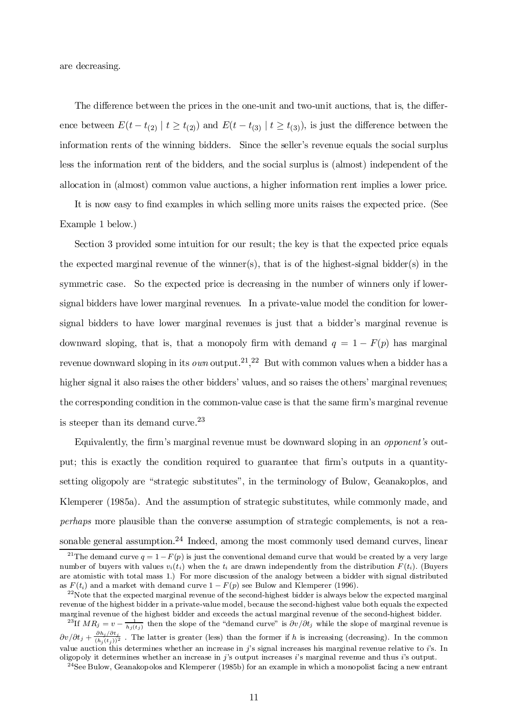are decreasing.

The difference between the prices in the one-unit and two-unit auctions, that is, the difference between  $E(t-t_{(2)} | t \ge t_{(2)})$  and  $E(t-t_{(3)} | t \ge t_{(3)})$ , is just the difference between the information rents of the winning bidders. Since the seller's revenue equals the social surplus less the information rent of the bidders, and the social surplus is (almost) independent of the allocation in (almost) common value auctions, a higher information rent implies a lower price.

It is now easy to find examples in which selling more units raises the expected price. (See Example 1 below.)

Section 3 provided some intuition for our result; the key is that the expected price equals the expected marginal revenue of the winner(s), that is of the highest-signal bidder(s) in the symmetric case. So the expected price is decreasing in the number of winners only if lowersignal bidders have lower marginal revenues. In a private-value model the condition for lowersignal bidders to have lower marginal revenues is just that a bidder's marginal revenue is downward sloping, that is, that a monopoly firm with demand  $q = 1 - F(p)$  has marginal revenue downward sloping in its *own* output.<sup>21</sup>,<sup>22</sup> But with common values when a bidder has a higher signal it also raises the other bidders' values, and so raises the others' marginal revenues; the corresponding condition in the common-value case is that the same firm's marginal revenue is steeper than its demand curve. 23

Equivalently, the firm's marginal revenue must be downward sloping in an *opponent's* output; this is exactly the condition required to guarantee that firm's outputs in a quantitysetting oligopoly are "strategic substitutes", in the terminology of Bulow, Geanakoplos, and Klemperer (1985a). And the assumption of strategic substitutes, while commonly made, and perhaps more plausible than the converse assumption of strategic complements, is not a reasonable general assumption.<sup>24</sup> Indeed, among the most commonly used demand curves, linear

<sup>&</sup>lt;sup>21</sup>The demand curve  $q = 1 - F(p)$  is just the conventional demand curve that would be created by a very large number of buyers with values  $v_i(t_i)$  when the  $t_i$  are drawn independently from the distribution  $F(t_i)$ . (Buyers are atomistic with total mass 1.) For more discussion of the analogy between a bidder with signal distributed as  $F(t_i)$  and a market with demand curve  $1 - F(p)$  see Bulow and Klemperer (1996).

 $^{22}$ Note that the expected marginal revenue of the second-highest bidder is always below the expected marginal revenue of the highest bidder in a private-value model, because the second-highest value both equals the expected marginal revenue of the highest bidder and exceeds the actual marginal revenue of the second-highest bidder.

<sup>&</sup>lt;sup>23</sup>If  $MR_j = v - \frac{1}{h_j(t_j)}$  then the slope of the "demand curve" is  $\partial v/\partial t_j$  while the slope of marginal revenue is  $\partial v/\partial t_j + \frac{\partial h_j/\partial t_j}{(h_j(t_j))^2}$ . The latter is greater (less) than the former if h is increasing (decreasing). In the common value auction this determines whether an increase in  $j$ 's signal increases his marginal revenue relative to  $i$ 's. In oligopoly it determines whether an increase in j's output increases i's marginal revenue and thus i's output.

 $24$ See Bulow, Geanakopolos and Klemperer (1985b) for an example in which a monopolist facing a new entrant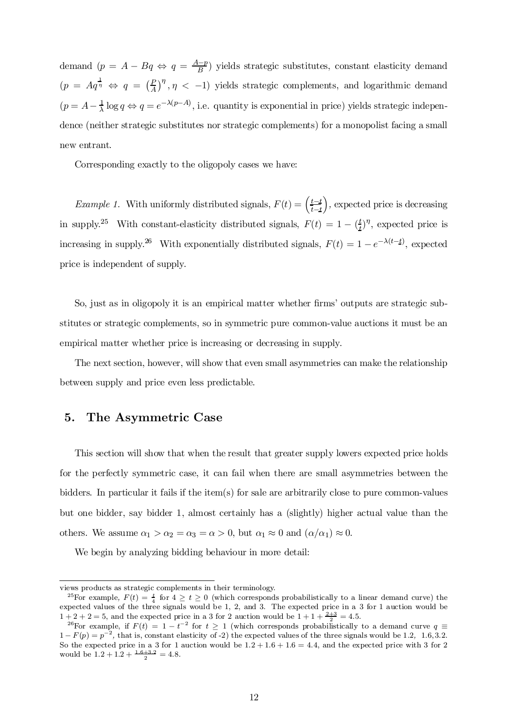demand  $(p = A - Bq \Leftrightarrow q = \frac{A-p}{B})$  yields strategic substitutes, constant elasticity demand  $(p = Aq^{\frac{1}{\eta}} \Leftrightarrow q = (\frac{P}{A})$  $\left(\frac{P}{A}\right)^{\eta}, \eta$  < -1) yields strategic complements, and logarithmic demand  $(p = A - \frac{1}{\lambda})$  $\frac{1}{\lambda} \log q \Leftrightarrow q = e^{-\lambda(p-A)}$ , i.e. quantity is exponential in price) yields strategic independence (neither strategic substitutes nor strategic complements) for a monopolist facing a small new entrant.

Corresponding exactly to the oligopoly cases we have:

*Example 1*. With uniformly distributed signals,  $F(t) = \left(\frac{t-t}{t-t}\right)$  $t - t$ ), expected price is decreasing in supply.<sup>25</sup> With constant-elasticity distributed signals,  $F(t) = 1 - \left(\frac{t}{t}\right)$  $(t)$ <sup>n</sup>, expected price is increasing in supply.<sup>26</sup> With exponentially distributed signals,  $F(t) = 1 - e^{-\lambda(t-t)}$ , expected price is independent of supply.

So, just as in oligopoly it is an empirical matter whether firms' outputs are strategic substitutes or strategic complements, so in symmetric pure common-value auctions it must be an empirical matter whether price is increasing or decreasing in supply.

The next section, however, will show that even small asymmetries can make the relationship between supply and price even less predictable.

## 5. The Asymmetric Case

This section will show that when the result that greater supply lowers expected price holds for the perfectly symmetric case, it can fail when there are small asymmetries between the bidders. In particular it fails if the item(s) for sale are arbitrarily close to pure common-values but one bidder, say bidder 1, almost certainly has a (slightly) higher actual value than the others. We assume  $\alpha_1 > \alpha_2 = \alpha_3 = \alpha > 0$ , but  $\alpha_1 \approx 0$  and  $(\alpha/\alpha_1) \approx 0$ .

We begin by analyzing bidding behaviour in more detail:

views products as strategic complements in their terminology.

<sup>&</sup>lt;sup>25</sup>For example,  $F(t) = \frac{t}{4}$  for  $4 \ge t \ge 0$  (which corresponds probabilistically to a linear demand curve) the expected values of the three signals would be 1, 2, and 3. The expected price in a 3 for 1 auction would be  $1 + 2 + 2 = 5$ , and the expected price in a 3 for 2 auction would be  $1 + 1 + \frac{2+3}{2} = 4.5$ .

<sup>&</sup>lt;sup>26</sup>For example, if  $F(t) = 1 - t^{-2}$  for  $t \ge 1$  (which corresponds probabilistically to a demand curve  $q \equiv$  $1 - F(p) = p^{-2}$ , that is, constant elasticity of -2) the expected values of the three signals would be 1.2, 1.6, 3.2. So the expected price in a 3 for 1 auction would be  $1.2 + 1.6 + 1.6 = 4.4$ , and the expected price with 3 for 2 would be  $1.2 + 1.2 + \frac{1.6 + 3.2}{2} = 4.8$ .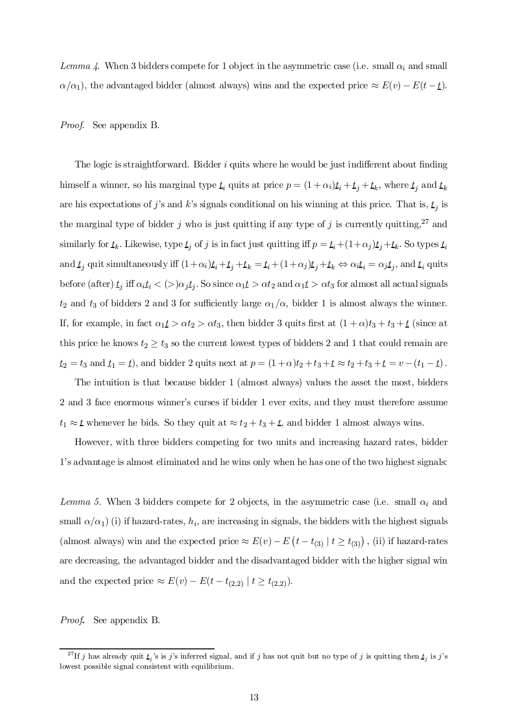Lemma 4. When 3 bidders compete for 1 object in the asymmetric case (i.e. small  $\alpha_i$  and small  $\alpha/\alpha_1$ , the advantaged bidder (almost always) wins and the expected price  $\approx E(v) - E(t - \underline{t})$ .

Proof. See appendix B.

The logic is straightforward. Bidder  $i$  quits where he would be just indifferent about finding himself a winner, so his marginal type  $\underline{t}_i$  quits at price  $p = (1 + \alpha_i)\underline{t}_i + \underline{t}_j + \underline{t}_k$ , where  $\underline{t}_j$  and  $\underline{t}_k$ are his expectations of j's and k's signals conditional on his winning at this price. That is,  $t_j$  is the marginal type of bidder j who is just quitting if any type of j is currently quitting,<sup>27</sup> and similarly for  $t_k$ . Likewise, type  $t_j$  of j is in fact just quitting iff  $p = t_i+(1+\alpha_j)t_j+t_k$ . So types  $t_i$ and  $t_j$  quit simultaneously iff  $(1+\alpha_i)t_i+t_j+t_k = t_i+(1+\alpha_j)t_j+t_k \Leftrightarrow \alpha_i t_i = \alpha_j t_j$ , and  $t_i$  quits before (after)  $t_j$  iff  $\alpha_i t_i < (>)\alpha_j t_j.$  So since  $\alpha_1 t > \alpha t_2$  and  $\alpha_1 t > \alpha t_3$  for almost all actual signals  $t_2$  and  $t_3$  of bidders 2 and 3 for sufficiently large  $\alpha_1/\alpha$ , bidder 1 is almost always the winner. If, for example, in fact  $\alpha_1 t > \alpha t_2 > \alpha t_3$ , then bidder 3 quits first at  $(1 + \alpha)t_3 + t_3 + t$  (since at this price he knows  $t_2 \geq t_3$  so the current lowest types of bidders 2 and 1 that could remain are  $t_2 = t_3$  and  $t_1 = t$ ), and bidder 2 quits next at  $p = (1 + \alpha)t_2 + t_3 + t_4 \approx t_2 + t_3 + t_5 = v - (t_1 - t)$ .

The intuition is that because bidder 1 (almost always) values the asset the most, bidders 2 and 3 face enormous winner's curses if bidder 1 ever exits, and they must therefore assume  $t_1 \approx t$  whenever he bids. So they quit at  $\approx t_2 + t_3 + t$ , and bidder 1 almost always wins.

However, with three bidders competing for two units and increasing hazard rates, bidder 1's advantage is almost eliminated and he wins only when he has one of the two highest signals:

Lemma 5. When 3 bidders compete for 2 objects, in the asymmetric case (i.e. small  $\alpha_i$  and small  $\alpha/\alpha_1$ ) (i) if hazard-rates,  $h_i$ , are increasing in signals, the bidders with the highest signals (almost always) win and the expected price  $\approx E(v) - E(t - t_{(3)} | t \ge t_{(3)})$ , (ii) if hazard-rates are decreasing, the advantaged bidder and the disadvantaged bidder with the higher signal win and the expected price  $\approx E(v) - E(t - t_{(2,2)})$   $\mid t \geq t_{(2,2)}\right)$ .

Proof. See appendix B.

<sup>&</sup>lt;sup>27</sup>If j has already quit  $\underline{t}_j$ 's is j's inferred signal, and if j has not quit but no type of j is quitting then  $\underline{t}_j$  is j's lowest possible signal consistent with equilibrium.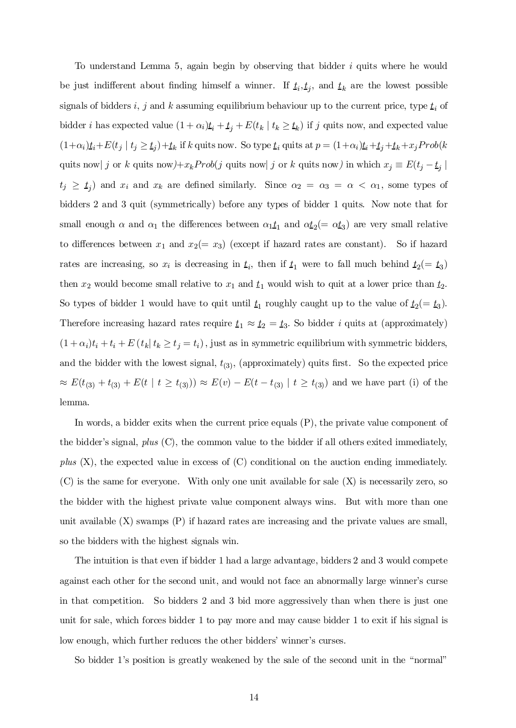To understand Lemma 5, again begin by observing that bidder  $i$  quits where he would be just indifferent about finding himself a winner. If  $t_i, t_j$ , and  $t_k$  are the lowest possible signals of bidders i, j and k assuming equilibrium behaviour up to the current price, type  $\underline{t}_i$  of bidder *i* has expected value  $(1 + \alpha_i)t_i + t_j + E(t_k | t_k \ge t_k)$  if *j* quits now, and expected value  $(1+\alpha_i)\underline{t}_i + E(t_j \mid t_j \geq \underline{t}_j) + \underline{t}_k$  if k quits now. So type  $\underline{t}_i$  quits at  $p = (1+\alpha_i)\underline{t}_i + \underline{t}_j + \underline{t}_k + x_j Prob(k)$ quits now | j or k quits now  $+x_kProb(j$  quits now | j or k quits now  $\sum_{i=1}^{n}$  in which  $x_j \equiv E(t_j - t_j)$  $t_j \geq t_j$  and  $x_i$  and  $x_k$  are defined similarly. Since  $\alpha_2 = \alpha_3 = \alpha < \alpha_1$ , some types of bidders 2 and 3 quit (symmetrically) before any types of bidder 1 quits. Now note that for small enough  $\alpha$  and  $\alpha_1$  the differences between  $\alpha_1 \underline{t}_1$  and  $\alpha \underline{t}_2 (= \alpha \underline{t}_3)$  are very small relative to differences between  $x_1$  and  $x_2(= x_3)$  (except if hazard rates are constant). So if hazard rates are increasing, so  $x_i$  is decreasing in  $t_i$ , then if  $t_1$  were to fall much behind  $t_2 (= t_3)$ then  $x_2$  would become small relative to  $x_1$  and  $t_1$  would wish to quit at a lower price than  $t_2$ . So types of bidder 1 would have to quit until  $t_1$  roughly caught up to the value of  $t_2 = t_3$ ). Therefore increasing hazard rates require  $t_1 \approx t_2 = t_3$ . So bidder *i* quits at (approximately)  $(1 + \alpha_i)t_i + t_i + E(t_k | t_k \ge t_j = t_i)$ , just as in symmetric equilibrium with symmetric bidders, and the bidder with the lowest signal,  $t_{(3)}$ , (approximately) quits first. So the expected price  $\approx E(t_{(3)} + t_{(3)} + E(t \mid t \ge t_{(3)})) \approx E(v) - E(t - t_{(3)} \mid t \ge t_{(3)})$  and we have part (i) of the lemma.

In words, a bidder exits when the current price equals (P), the private value component of the bidder's signal,  $plus (C)$ , the common value to the bidder if all others exited immediately, plus  $(X)$ , the expected value in excess of  $(C)$  conditional on the auction ending immediately. (C) is the same for everyone. With only one unit available for sale (X) is necessarily zero, so the bidder with the highest private value component always wins. But with more than one unit available (X) swamps (P) if hazard rates are increasing and the private values are small, so the bidders with the highest signals win.

The intuition is that even if bidder 1 had a large advantage, bidders 2 and 3 would compete against each other for the second unit, and would not face an abnormally large winner's curse in that competition. So bidders 2 and 3 bid more aggressively than when there is just one unit for sale, which forces bidder 1 to pay more and may cause bidder 1 to exit if his signal is low enough, which further reduces the other bidders' winner's curses.

So bidder 1's position is greatly weakened by the sale of the second unit in the "normal"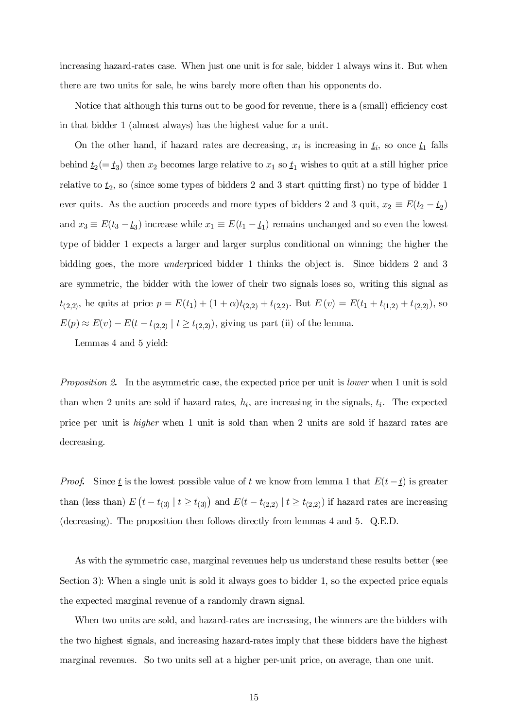increasing hazard-rates case. When just one unit is for sale, bidder 1 always wins it. But when there are two units for sale, he wins barely more often than his opponents do.

Notice that although this turns out to be good for revenue, there is a (small) efficiency cost in that bidder 1 (almost always) has the highest value for a unit.

On the other hand, if hazard rates are decreasing,  $x_i$  is increasing in  $\underline{t}_i$ , so once  $\underline{t}_1$  falls behind  $\underline{t}_2(=\underline{t}_3)$  then  $x_2$  becomes large relative to  $x_1$  so  $\underline{t}_1$  wishes to quit at a still higher price relative to  $t_2$ , so (since some types of bidders 2 and 3 start quitting first) no type of bidder 1 ever quits. As the auction proceeds and more types of bidders 2 and 3 quit,  $x_2 \equiv E(t_2 - t_2)$ and  $x_3 \equiv E(t_3 - t_3)$  increase while  $x_1 \equiv E(t_1 - t_1)$  remains unchanged and so even the lowest type of bidder 1 expects a larger and larger surplus conditional on winning; the higher the bidding goes, the more underpriced bidder 1 thinks the object is. Since bidders 2 and 3 are symmetric, the bidder with the lower of their two signals loses so, writing this signal as  $t_{(2,2)}$ , he quits at price  $p = E(t_1) + (1+\alpha)t_{(2,2)} + t_{(2,2)}$ . But  $E(v) = E(t_1 + t_{(1,2)} + t_{(2,2)})$ , so  $E(p) \approx E(v) - E(t - t_{(2,2)} | t \ge t_{(2,2)}),$  giving us part (ii) of the lemma.

Lemmas 4 and 5 yield:

Proposition 2. In the asymmetric case, the expected price per unit is lower when 1 unit is sold than when 2 units are sold if hazard rates,  $h_i$ , are increasing in the signals,  $t_i$ . The expected price per unit is higher when 1 unit is sold than when 2 units are sold if hazard rates are decreasing.

*Proof.* Since  $\underline{t}$  is the lowest possible value of t we know from lemma 1 that  $E(t-\underline{t})$  is greater than (less than)  $E(t-t_{(3)} | t \ge t_{(3)})$  and  $E(t-t_{(2,2)} | t \ge t_{(2,2)})$  if hazard rates are increasing (decreasing). The proposition then follows directly from lemmas 4 and 5. Q.E.D.

As with the symmetric case, marginal revenues help us understand these results better (see Section 3): When a single unit is sold it always goes to bidder 1, so the expected price equals the expected marginal revenue of a randomly drawn signal.

When two units are sold, and hazard-rates are increasing, the winners are the bidders with the two highest signals, and increasing hazard-rates imply that these bidders have the highest marginal revenues. So two units sell at a higher per-unit price, on average, than one unit.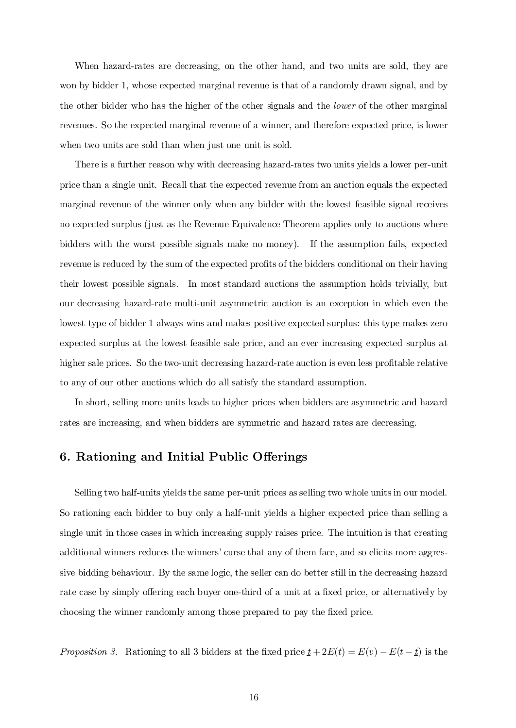When hazard-rates are decreasing, on the other hand, and two units are sold, they are won by bidder 1, whose expected marginal revenue is that of a randomly drawn signal, and by the other bidder who has the higher of the other signals and the *lower* of the other marginal revenues. So the expected marginal revenue of a winner, and therefore expected price, is lower when two units are sold than when just one unit is sold.

There is a further reason why with decreasing hazard-rates two units yields a lower per-unit price than a single unit. Recall that the expected revenue from an auction equals the expected marginal revenue of the winner only when any bidder with the lowest feasible signal receives no expected surplus (just as the Revenue Equivalence Theorem applies only to auctions where bidders with the worst possible signals make no money). If the assumption fails, expected revenue is reduced by the sum of the expected profits of the bidders conditional on their having their lowest possible signals. In most standard auctions the assumption holds trivially, but our decreasing hazard-rate multi-unit asymmetric auction is an exception in which even the lowest type of bidder 1 always wins and makes positive expected surplus: this type makes zero expected surplus at the lowest feasible sale price, and an ever increasing expected surplus at higher sale prices. So the two-unit decreasing hazard-rate auction is even less profitable relative to any of our other auctions which do all satisfy the standard assumption.

In short, selling more units leads to higher prices when bidders are asymmetric and hazard rates are increasing, and when bidders are symmetric and hazard rates are decreasing.

## 6. Rationing and Initial Public Offerings

Selling two half-units yields the same per-unit prices as selling two whole units in our model. So rationing each bidder to buy only a half-unit yields a higher expected price than selling a single unit in those cases in which increasing supply raises price. The intuition is that creating additional winners reduces the winners' curse that any of them face, and so elicits more aggressive bidding behaviour. By the same logic, the seller can do better still in the decreasing hazard rate case by simply offering each buyer one-third of a unit at a fixed price, or alternatively by choosing the winner randomly among those prepared to pay the fixed price.

Proposition 3. Rationing to all 3 bidders at the fixed price  $\underline{t} + 2E(t) = E(v) - E(t - \underline{t})$  is the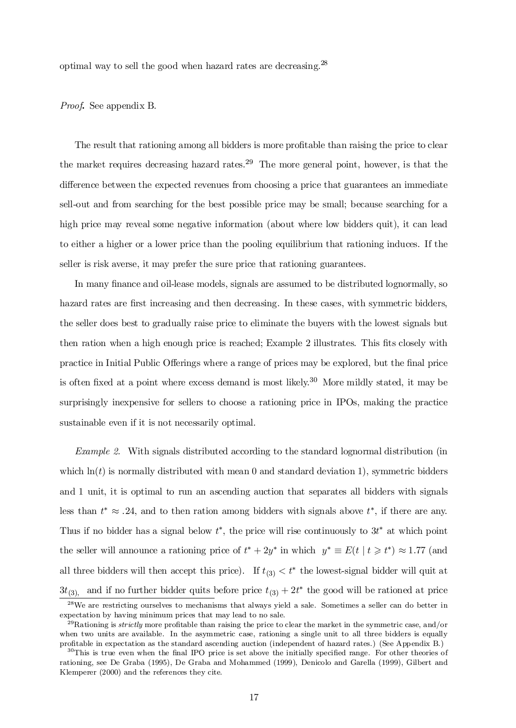optimal way to sell the good when hazard rates are decreasing.<sup>28</sup>

Proof. See appendix B.

The result that rationing among all bidders is more profitable than raising the price to clear the market requires decreasing hazard rates. <sup>29</sup> The more general point, however, is that the difference between the expected revenues from choosing a price that guarantees an immediate sell-out and from searching for the best possible price may be small; because searching for a high price may reveal some negative information (about where low bidders quit), it can lead to either a higher or a lower price than the pooling equilibrium that rationing induces. If the seller is risk averse, it may prefer the sure price that rationing guarantees.

In many finance and oil-lease models, signals are assumed to be distributed lognormally, so hazard rates are first increasing and then decreasing. In these cases, with symmetric bidders, the seller does best to gradually raise price to eliminate the buyers with the lowest signals but then ration when a high enough price is reached; Example 2 illustrates. This fits closely with practice in Initial Public Offerings where a range of prices may be explored, but the final price is often fixed at a point where excess demand is most likely.<sup>30</sup> More mildly stated, it may be surprisingly inexpensive for sellers to choose a rationing price in IPOs, making the practice sustainable even if it is not necessarily optimal.

Example 2. With signals distributed according to the standard lognormal distribution (in which  $\ln(t)$  is normally distributed with mean 0 and standard deviation 1), symmetric bidders and 1 unit, it is optimal to run an ascending auction that separates all bidders with signals less than  $t^* \approx .24$ , and to then ration among bidders with signals above  $t^*$ , if there are any. Thus if no bidder has a signal below  $t^*$ , the price will rise continuously to  $3t^*$  at which point the seller will announce a rationing price of  $t^* + 2y^*$  in which  $y^* \equiv E(t \mid t \geq t^*) \approx 1.77$  (and all three bidders will then accept this price). If  $t_{(3)} < t^*$  the lowest-signal bidder will quit at  $3t_{(3)}$ , and if no further bidder quits before price  $t_{(3)} + 2t^*$  the good will be rationed at price

<sup>28</sup>We are restricting ourselves to mechanisms that always yield a sale. Sometimes a seller can do better in expectation by having minimum prices that may lead to no sale.

 $^{29}$ Rationing is strictly more profitable than raising the price to clear the market in the symmetric case, and/or when two units are available. In the asymmetric case, rationing a single unit to all three bidders is equally profitable in expectation as the standard ascending auction (independent of hazard rates.) (See Appendix B.)

 $30$ This is true even when the final IPO price is set above the initially specified range. For other theories of rationing, see De Graba (1995), De Graba and Mohammed (1999), Denicolo and Garella (1999), Gilbert and Klemperer (2000) and the references they cite.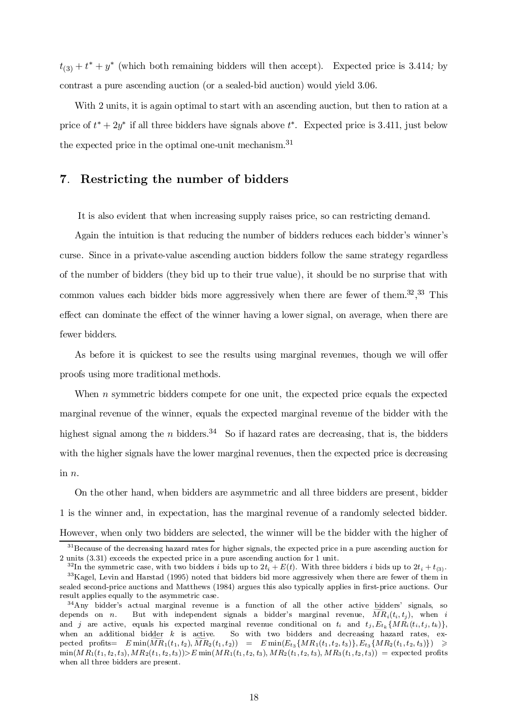$t_{(3)} + t^* + y^*$  (which both remaining bidders will then accept). Expected price is 3.414; by contrast a pure ascending auction (or a sealed-bid auction) would yield 3:06.

With 2 units, it is again optimal to start with an ascending auction, but then to ration at a price of  $t^* + 2y^*$  if all three bidders have signals above  $t^*$ . Expected price is 3.411, just below the expected price in the optimal one-unit mechanism. 31

## 7. Restricting the number of bidders

It is also evident that when increasing supply raises price, so can restricting demand.

Again the intuition is that reducing the number of bidders reduces each bidder's winner's curse. Since in a private-value ascending auction bidders follow the same strategy regardless of the number of bidders (they bid up to their true value), it should be no surprise that with common values each bidder bids more aggressively when there are fewer of them.<sup>32</sup>,<sup>33</sup> This effect can dominate the effect of the winner having a lower signal, on average, when there are fewer bidders.

As before it is quickest to see the results using marginal revenues, though we will offer proofs using more traditional methods.

When  $n$  symmetric bidders compete for one unit, the expected price equals the expected marginal revenue of the winner, equals the expected marginal revenue of the bidder with the highest signal among the *n* bidders.<sup>34</sup> So if hazard rates are decreasing, that is, the bidders with the higher signals have the lower marginal revenues, then the expected price is decreasing in n:

On the other hand, when bidders are asymmetric and all three bidders are present, bidder 1 is the winner and, in expectation, has the marginal revenue of a randomly selected bidder. However, when only two bidders are selected, the winner will be the bidder with the higher of

 $31$ Because of the decreasing hazard rates for higher signals, the expected price in a pure ascending auction for 2 units (3.31) exceeds the expected price in a pure ascending auction for 1 unit.

<sup>&</sup>lt;sup>32</sup>In the symmetric case, with two bidders *i* bids up to  $2t_i + E(t)$ . With three bidders *i* bids up to  $2t_i + t_{(3)}$ . <sup>33</sup>Kagel, Levin and Harstad (1995) noted that bidders bid more aggressively when there are fewer of them in sealed second-price auctions and Matthews (1984) argues this also typically applies in first-price auctions. Our result applies equally to the asymmetric case.

<sup>&</sup>lt;sup>34</sup>Any bidder's actual marginal revenue is a function of all the other active bidders' signals, so depends on *n*. But with independent signals a bidder's marginal revenue,  $MR_i(t_i, t_j)$ , when *i* and j are active, equals his expected marginal revenue conditional on  $t_i$  and  $t_j, E_{t_k} \{MR_i(t_i, t_j, t_k)\},\}$ when an additional bidder  $k$  is active. So with two bidders and decreasing hazard rates, ex- $\text{pected profits} = E \min(\widetilde{MR}_1(t_1, t_2), \widetilde{MR}_2(t_1, t_2)) = E \min(E_{t_3} \{MR_1(t_1, t_2, t_3)\}, E_{t_3} \{MR_2(t_1, t_2, t_3)\}) \geq$  $\min(MR_1(t_1, t_2, t_3), MR_2(t_1, t_2, t_3))$   $\geq E \min(MR_1(t_1, t_2, t_3), MR_2(t_1, t_2, t_3), MR_3(t_1, t_2, t_3))$  = expected profits when all three bidders are present.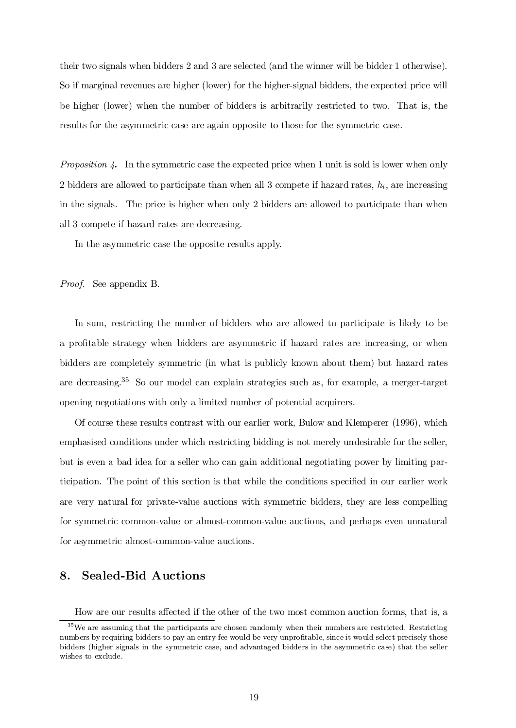their two signals when bidders 2 and 3 are selected (and the winner will be bidder 1 otherwise). So if marginal revenues are higher (lower) for the higher-signal bidders, the expected price will be higher (lower) when the number of bidders is arbitrarily restricted to two. That is, the results for the asymmetric case are again opposite to those for the symmetric case.

Proposition 4. In the symmetric case the expected price when 1 unit is sold is lower when only 2 bidders are allowed to participate than when all 3 compete if hazard rates,  $h_i$ , are increasing in the signals. The price is higher when only 2 bidders are allowed to participate than when all 3 compete if hazard rates are decreasing.

In the asymmetric case the opposite results apply.

Proof. See appendix B.

In sum, restricting the number of bidders who are allowed to participate is likely to be a profitable strategy when bidders are asymmetric if hazard rates are increasing, or when bidders are completely symmetric (in what is publicly known about them) but hazard rates are decreasing. <sup>35</sup> So our model can explain strategies such as, for example, a merger-target opening negotiations with only a limited number of potential acquirers.

Of course these results contrast with our earlier work, Bulow and Klemperer (1996), which emphasised conditions under which restricting bidding is not merely undesirable for the seller, but is even a bad idea for a seller who can gain additional negotiating power by limiting participation. The point of this section is that while the conditions specified in our earlier work are very natural for private-value auctions with symmetric bidders, they are less compelling for symmetric common-value or almost-common-value auctions, and perhaps even unnatural for asymmetric almost-common-value auctions.

## 8. Sealed-Bid Auctions

How are our results affected if the other of the two most common auction forms, that is, a

 $35$ We are assuming that the participants are chosen randomly when their numbers are restricted. Restricting numbers by requiring bidders to pay an entry fee would be very unprofitable, since it would select precisely those bidders (higher signals in the symmetric case, and advantaged bidders in the asymmetric case) that the seller wishes to exclude.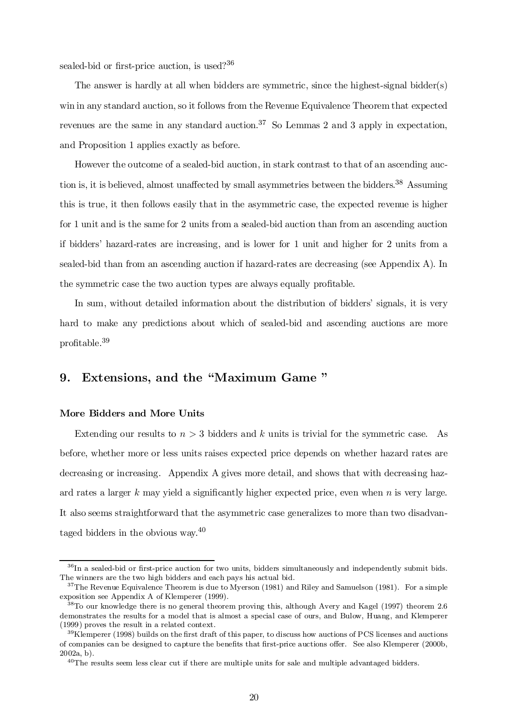sealed-bid or first-price auction, is used?<sup>36</sup>

The answer is hardly at all when bidders are symmetric, since the highest-signal bidder(s) win in any standard auction, so it follows from the Revenue Equivalence Theorem that expected revenues are the same in any standard auction.<sup>37</sup> So Lemmas 2 and 3 apply in expectation, and Proposition 1 applies exactly as before.

However the outcome of a sealed-bid auction, in stark contrast to that of an ascending auction is, it is believed, almost unaffected by small asymmetries between the bidders.<sup>38</sup> Assuming this is true, it then follows easily that in the asymmetric case, the expected revenue is higher for 1 unit and is the same for 2 units from a sealed-bid auction than from an ascending auction if bidders' hazard-rates are increasing, and is lower for 1 unit and higher for 2 units from a sealed-bid than from an ascending auction if hazard-rates are decreasing (see Appendix A). In the symmetric case the two auction types are always equally profitable.

In sum, without detailed information about the distribution of bidders' signals, it is very hard to make any predictions about which of sealed-bid and ascending auctions are more  $\rm profile.^{39}$ 

## 9. Extensions, and the "Maximum Game"

## More Bidders and More Units

Extending our results to  $n > 3$  bidders and k units is trivial for the symmetric case. As before, whether more or less units raises expected price depends on whether hazard rates are decreasing or increasing. Appendix A gives more detail, and shows that with decreasing hazard rates a larger  $k$  may yield a significantly higher expected price, even when  $n$  is very large. It also seems straightforward that the asymmetric case generalizes to more than two disadvantaged bidders in the obvious way.<sup>40</sup>

<sup>&</sup>lt;sup>36</sup>In a sealed-bid or first-price auction for two units, bidders simultaneously and independently submit bids. The winners are the two high bidders and each pays his actual bid.

 $37$ The Revenue Equivalence Theorem is due to Myerson (1981) and Riley and Samuelson (1981). For a simple exposition see Appendix A of Klemperer (1999).

 $38$ To our knowledge there is no general theorem proving this, although Avery and Kagel (1997) theorem 2.6 demonstrates the results for a model that is almost a special case of ours, and Bulow, Huang, and Klemperer (1999) proves the result in a related context.

 $39$ Klemperer (1998) builds on the first draft of this paper, to discuss how auctions of PCS licenses and auctions of companies can be designed to capture the benefits that first-price auctions offer. See also Klemperer (2000b, 2002a, b).

 $^{40}$ The results seem less clear cut if there are multiple units for sale and multiple advantaged bidders.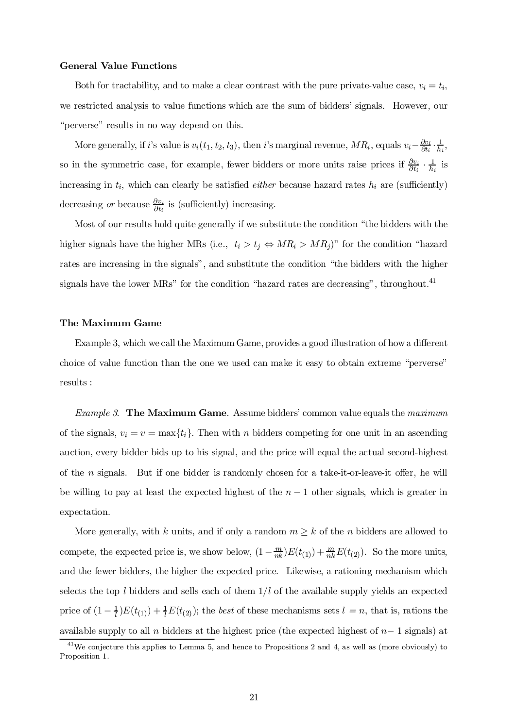### General Value Functions

Both for tractability, and to make a clear contrast with the pure private-value case,  $v_i = t_i$ , we restricted analysis to value functions which are the sum of bidders' signals. However, our "perverse" results in no way depend on this.

More generally, if *i*'s value is  $v_i(t_1, t_2, t_3)$ , then *i*'s marginal revenue,  $MR_i$ , equals  $v_i - \frac{\partial v_i}{\partial t_i}$  $\frac{\partial v_i}{\partial t_i} \cdot \frac{1}{h_i}$  $\frac{1}{h_i},$ so in the symmetric case, for example, fewer bidders or more units raise prices if  $\frac{\partial v_i}{\partial t}$ .  $\frac{\partial v_i}{\partial t_i} \cdot \frac{1}{h_i}$  is increasing in  $t_i$ , which can clearly be satisfied *either* because hazard rates  $h_i$  are (sufficiently) decreasing *or* because  $\frac{\partial v_i}{\partial t_i}$  $\frac{\partial v_i}{\partial t_i}$  is (sufficiently) increasing.

Most of our results hold quite generally if we substitute the condition "the bidders with the higher signals have the higher MRs (i.e.,  $t_i > t_j \Leftrightarrow MR_i > MR_j$ )" for the condition "hazard rates are increasing in the signals", and substitute the condition "the bidders with the higher signals have the lower MRs" for the condition "hazard rates are decreasing", throughout.<sup>41</sup>

### The Maximum Game

Example 3, which we call the Maximum Game, provides a good illustration of how a different choice of value function than the one we used can make it easy to obtain extreme \perverse" results :

Example 3. The Maximum Game. Assume bidders' common value equals the maximum of the signals,  $v_i = v = \max\{t_i\}$ . Then with n bidders competing for one unit in an ascending auction, every bidder bids up to his signal, and the price will equal the actual second-highest of the *n* signals. But if one bidder is randomly chosen for a take-it-or-leave-it offer, he will be willing to pay at least the expected highest of the  $n-1$  other signals, which is greater in expectation.

More generally, with k units, and if only a random  $m \geq k$  of the n bidders are allowed to compete, the expected price is, we show below,  $(1 - \frac{m}{nk})$  $\frac{m}{nk}E(t_{(1)}) + \frac{m}{nk}E(t_{(2)})$ . So the more units, and the fewer bidders, the higher the expected price. Likewise, a rationing mechanism which selects the top l bidders and sells each of them  $1/l$  of the available supply yields an expected price of  $(1 - \frac{1}{l})E(t_{(1)}) + \frac{1}{l}E(t_{(2)})$ ; the *best* of these mechanisms sets  $l = n$ , that is, rations the available supply to all n bidders at the highest price (the expected highest of  $n-1$  signals) at

<sup>&</sup>lt;sup>41</sup>We conjecture this applies to Lemma 5, and hence to Propositions 2 and 4, as well as (more obviously) to Proposition 1.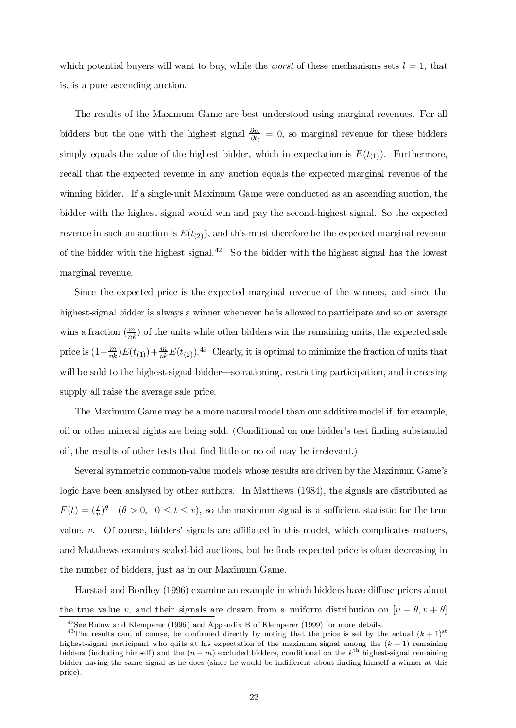which potential buyers will want to buy, while the *worst* of these mechanisms sets  $l = 1$ , that is, is a pure ascending auction.

The results of the Maximum Game are best understood using marginal revenues. For all bidders but the one with the highest signal  $\frac{\partial v_i}{\partial t}$ .  $\frac{\partial v_i}{\partial t_i} = 0$ , so marginal revenue for these bidders simply equals the value of the highest bidder, which in expectation is  $E(t_{(1)})$ . Furthermore, recall that the expected revenue in any auction equals the expected marginal revenue of the winning bidder. If a single-unit Maximum Game were conducted as an ascending auction, the bidder with the highest signal would win and pay the second-highest signal. So the expected revenue in such an auction is  $E(t_{(2)})$ , and this must therefore be the expected marginal revenue of the bidder with the highest signal.<sup>42</sup> So the bidder with the highest signal has the lowest marginal revenue.

Since the expected price is the expected marginal revenue of the winners, and since the highest-signal bidder is always a winner whenever he is allowed to participate and so on average wins a fraction  $\binom{m}{nk}$  of the units while other bidders win the remaining units, the expected sale price is  $\left(1-\frac{m}{nk}\right)$  $\frac{m}{nk}E(t_{(1)})+\frac{m}{nk}E(t_{(2)})$ .<sup>43</sup> Clearly, it is optimal to minimize the fraction of units that will be sold to the highest-signal bidder—so rationing, restricting participation, and increasing supply all raise the average sale price.

The Maximum Game may be a more natural model than our additive model if, for example, oil or other mineral rights are being sold. (Conditional on one bidder's test finding substantial oil, the results of other tests that find little or no oil may be irrelevant.)

Several symmetric common-value models whose results are driven by the Maximum Game's logic have been analysed by other authors. In Matthews (1984), the signals are distributed as  $F(t) = \left(\frac{t}{v}\right)^{\theta}$  ( $\theta > 0$ ,  $0 \le t \le v$ ), so the maximum signal is a sufficient statistic for the true value,  $v$ . Of course, bidders' signals are affiliated in this model, which complicates matters, and Matthews examines sealed-bid auctions, but he finds expected price is often decreasing in the number of bidders, just as in our Maximum Game.

Harstad and Bordley (1996) examine an example in which bidders have diffuse priors about the true value v, and their signals are drawn from a uniform distribution on  $[v - \theta, v + \theta]$ 

<sup>42</sup>See Bulow and Klemperer (1996) and Appendix B of Klemperer (1999) for more details.

<sup>&</sup>lt;sup>43</sup>The results can, of course, be confirmed directly by noting that the price is set by the actual  $(k+1)$ <sup>st</sup> highest-signal participant who quits at his expectation of the maximum signal among the  $(k + 1)$  remaining bidders (including himself) and the  $(n - m)$  excluded bidders, conditional on the  $k^{\text{th}}$  highest-signal remaining bidder having the same signal as he does (since he would be indifferent about finding himself a winner at this price).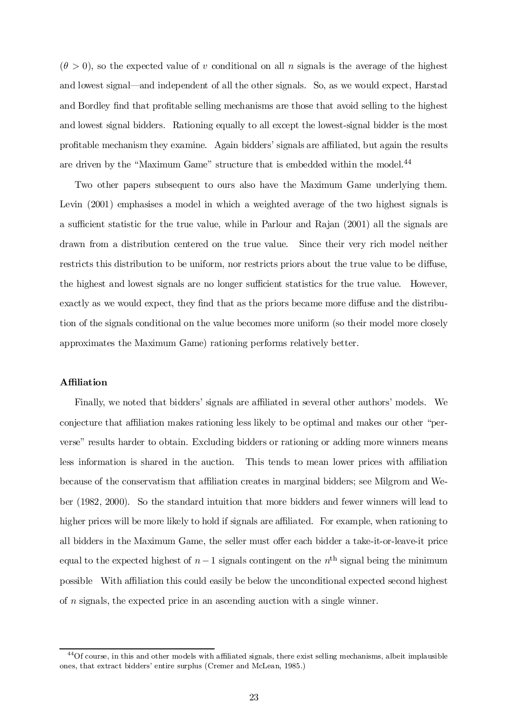$(\theta > 0)$ , so the expected value of v conditional on all n signals is the average of the highest and lowest signal—and independent of all the other signals. So, as we would expect, Harstad and Bordley find that profitable selling mechanisms are those that avoid selling to the highest and lowest signal bidders. Rationing equally to all except the lowest-signal bidder is the most profitable mechanism they examine. Again bidders' signals are affiliated, but again the results are driven by the "Maximum Game" structure that is embedded within the model.<sup>44</sup>

Two other papers subsequent to ours also have the Maximum Game underlying them. Levin (2001) emphasises a model in which a weighted average of the two highest signals is a sufficient statistic for the true value, while in Parlour and Rajan (2001) all the signals are drawn from a distribution centered on the true value. Since their very rich model neither restricts this distribution to be uniform, nor restricts priors about the true value to be diffuse, the highest and lowest signals are no longer sufficient statistics for the true value. However, exactly as we would expect, they find that as the priors became more diffuse and the distribution of the signals conditional on the value becomes more uniform (so their model more closely approximates the Maximum Game) rationing performs relatively better.

## **Affiliation**

Finally, we noted that bidders' signals are affiliated in several other authors' models. We conjecture that affiliation makes rationing less likely to be optimal and makes our other "perverse" results harder to obtain. Excluding bidders or rationing or adding more winners means less information is shared in the auction. This tends to mean lower prices with a±liation because of the conservatism that affiliation creates in marginal bidders; see Milgrom and Weber (1982, 2000). So the standard intuition that more bidders and fewer winners will lead to higher prices will be more likely to hold if signals are affiliated. For example, when rationing to all bidders in the Maximum Game, the seller must offer each bidder a take-it-or-leave-it price equal to the expected highest of  $n-1$  signals contingent on the  $n<sup>th</sup>$  signal being the minimum possible With affiliation this could easily be below the unconditional expected second highest of n signals, the expected price in an ascending auction with a single winner.

 $^{44}$ Of course, in this and other models with affiliated signals, there exist selling mechanisms, albeit implausible ones, that extract bidders' entire surplus (Cremer and McLean, 1985.)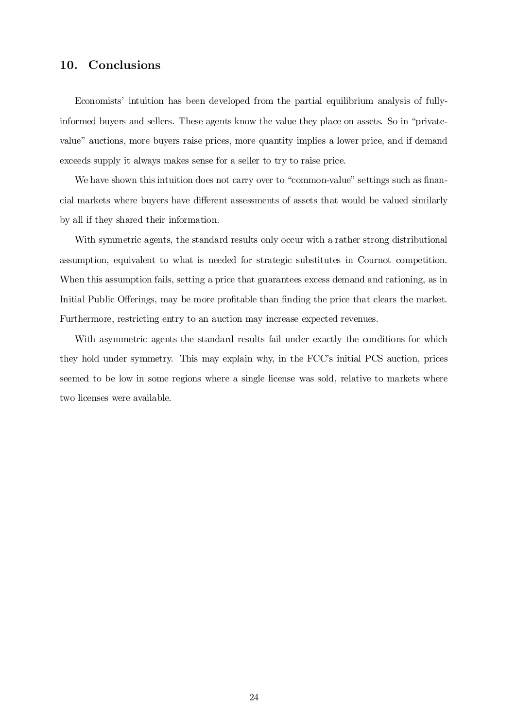## 10. Conclusions

Economists' intuition has been developed from the partial equilibrium analysis of fullyinformed buyers and sellers. These agents know the value they place on assets. So in \privatevalue" auctions, more buyers raise prices, more quantity implies a lower price, and if demand exceeds supply it always makes sense for a seller to try to raise price.

We have shown this intuition does not carry over to "common-value" settings such as financial markets where buyers have different assessments of assets that would be valued similarly by all if they shared their information.

With symmetric agents, the standard results only occur with a rather strong distributional assumption, equivalent to what is needed for strategic substitutes in Cournot competition. When this assumption fails, setting a price that guarantees excess demand and rationing, as in Initial Public Offerings, may be more profitable than finding the price that clears the market. Furthermore, restricting entry to an auction may increase expected revenues.

With asymmetric agents the standard results fail under exactly the conditions for which they hold under symmetry. This may explain why, in the FCC's initial PCS auction, prices seemed to be low in some regions where a single license was sold, relative to markets where two licenses were available.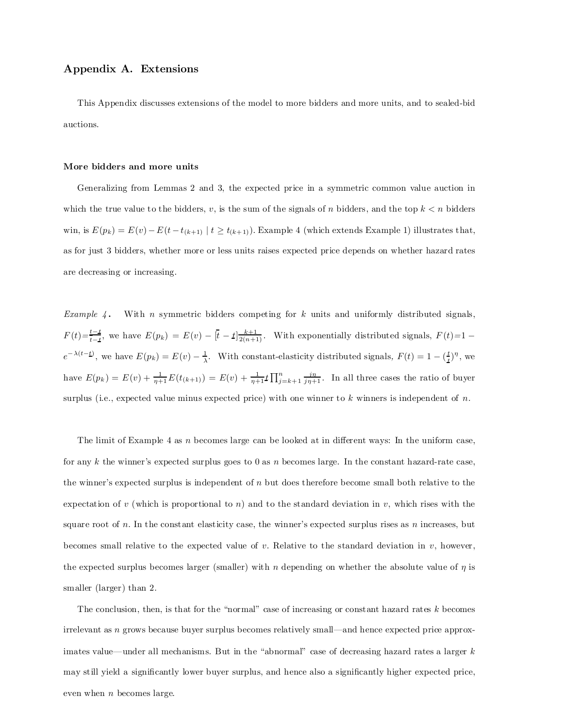## Appendix A. Extensions

This Appendix discusses extensions of the model to more bidders and more units, and to sealed-bid auctions.

#### More bidders and more units

Generalizing from Lemmas 2 and 3, the expected price in a symmetric common value auction in which the true value to the bidders, v, is the sum of the signals of n bidders, and the top  $k < n$  bidders win, is  $E(p_k) = E(v) - E(t - t_{(k+1)} | t \ge t_{(k+1)})$ . Example 4 (which extends Example 1) illustrates that, as for just 3 bidders, whether more or less units raises expected price depends on whether hazard rates are decreasing or increasing.

Example 4. With n symmetric bidders competing for k units and uniformly distributed signals,  $F(t)=\frac{t-t}{t-t}$  $\frac{t-t}{t-t}$ , we have  $E(p_k) = E(v) - [\bar{t} - t] \frac{k+1}{2(n+1)}$ . With exponentially distributed signals,  $F(t)=1$  $e^{-\lambda(t-\underline{t})}$ , we have  $E(p_k) = E(v) - \frac{1}{\lambda}$ . With constant-elasticity distributed signals,  $F(t) = 1 - (\frac{t}{\underline{t}})^{\eta}$ , we have  $E(p_k) = E(v) + \frac{1}{\eta+1}E(t_{(k+1)}) = E(v) + \frac{1}{\eta+1}E(\prod_{j=k+1}^n \frac{ip}{j\eta+1})$ . In all three cases the ratio of buyer surplus (i.e., expected value minus expected price) with one winner to k winners is independent of  $n$ .

The limit of Example 4 as  $n$  becomes large can be looked at in different ways: In the uniform case, for any k the winner's expected surplus goes to 0 as n becomes large. In the constant hazard-rate case, the winner's expected surplus is independent of  $n$  but does therefore become small both relative to the expectation of v (which is proportional to n) and to the standard deviation in v, which rises with the square root of  $n$ . In the constant elasticity case, the winner's expected surplus rises as  $n$  increases, but becomes small relative to the expected value of  $v$ . Relative to the standard deviation in  $v$ , however, the expected surplus becomes larger (smaller) with n depending on whether the absolute value of  $\eta$  is smaller (larger) than 2.

The conclusion, then, is that for the "normal" case of increasing or constant hazard rates  $k$  becomes  $irrelevant$  as n grows because buyer surplus becomes relatively small—and hence expected price approximates value—under all mechanisms. But in the "abnormal" case of decreasing hazard rates a larger  $k$ may still yield a significantly lower buyer surplus, and hence also a significantly higher expected price, even when  $n$  becomes large.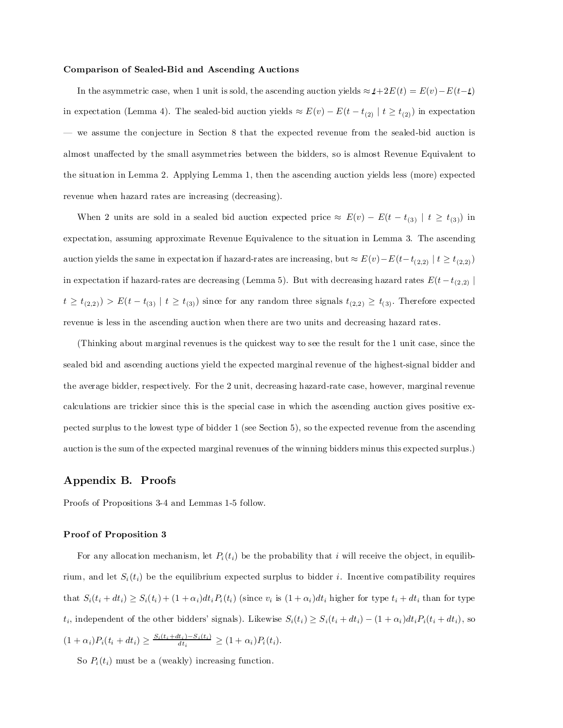#### Comparison of Sealed-Bid and Ascending Auctions

In the asymmetric case, when 1 unit is sold, the ascending auction yields  $\approx t+2E(t) = E(v)-E(t-t)$ in expectation (Lemma 4). The sealed-bid auction yields  $\approx E(v) - E(t - t_{(2)} | t \ge t_{(2)})$  in expectation | we assume the conjecture in Section 8 that the expected revenue from the sealed-bid auction is almost unaffected by the small asymmetries between the bidders, so is almost Revenue Equivalent to the situation in Lemma 2. Applying Lemma 1, then the ascending auction yields less (more) expected revenue when hazard rates are increasing (decreasing).

When 2 units are sold in a sealed bid auction expected price  $\approx E(v) - E(t - t_{(3)} | t \ge t_{(3)})$  in expectation, assuming approximate Revenue Equivalence to the situation in Lemma 3. The ascending auction yields the same in expectation if hazard-rates are increasing, but  $\approx E(v) - E(t - t_{(2,2)})$   $|t \ge t_{(2,2)})$ in expectation if hazard-rates are decreasing (Lemma 5). But with decreasing hazard rates  $E(t - t_{(2,2)})$  $t \geq t_{(2,2)}) > E(t-t_{(3)} | t \geq t_{(3)})$  since for any random three signals  $t_{(2,2)} \geq t_{(3)}$ . Therefore expected revenue is less in the ascending auction when there are two units and decreasing hazard rates.

(Thinking about marginal revenues is the quickest way to see the result for the 1 unit case, since the sealed bid and ascending auctions yield the expected marginal revenue of the highest-signal bidder and the average bidder, respectively. For the 2 unit, decreasing hazard-rate case, however, marginal revenue calculations are trickier since this is the special case in which the ascending auction gives positive expected surplus to the lowest type of bidder 1 (see Section 5), so the expected revenue from the ascending auction is the sum of the expected marginal revenues of the winning bidders minus this expected surplus.)

### Appendix B. Proofs

Proofs of Propositions 3-4 and Lemmas 1-5 follow.

### Proof of Proposition 3

For any allocation mechanism, let  $P_i(t_i)$  be the probability that i will receive the object, in equilibrium, and let  $S_i(t_i)$  be the equilibrium expected surplus to bidder i. Incentive compatibility requires that  $S_i(t_i + dt_i) \geq S_i(t_i) + (1 + \alpha_i)dt_i P_i(t_i)$  (since  $v_i$  is  $(1 + \alpha_i)dt_i$  higher for type  $t_i + dt_i$  than for type  $t_i$ , independent of the other bidders' signals). Likewise  $S_i(t_i) \geq S_i(t_i + dt_i) - (1 + \alpha_i)dt_i P_i(t_i + dt_i)$ , so  $(1 + \alpha_i)P_i(t_i + dt_i) \geq \frac{S_i(t_i + dt_i) - S_i(t_i)}{dt_i} \geq (1 + \alpha_i)P_i(t_i).$ 

So  $P_i(t_i)$  must be a (weakly) increasing function.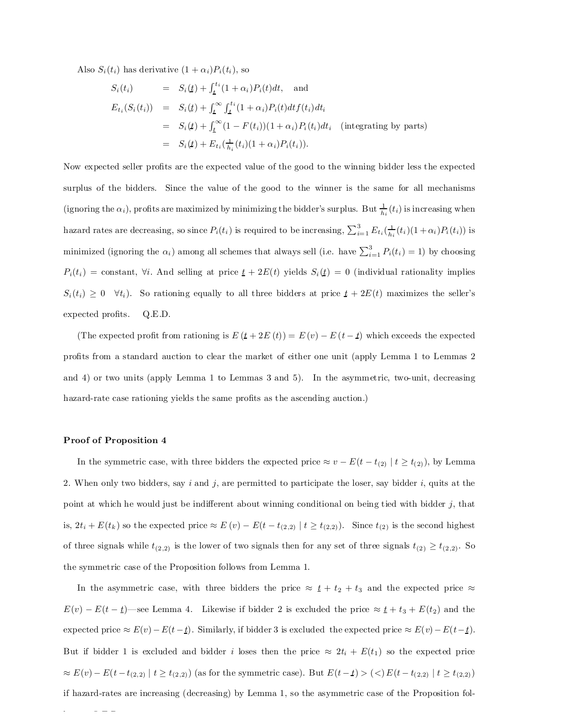Also  $S_i(t_i)$  has derivative  $(1 + \alpha_i)P_i(t_i)$ , so

$$
S_i(t_i) = S_i(\underline{t}) + \int_{\underline{t}}^{t_i} (1 + \alpha_i) P_i(t) dt, \text{ and}
$$
  
\n
$$
E_{t_i}(S_i(t_i)) = S_i(\underline{t}) + \int_{\underline{t}}^{\infty} \int_{\underline{t}}^{t_i} (1 + \alpha_i) P_i(t) dt f(t_i) dt_i
$$
  
\n
$$
= S_i(\underline{t}) + \int_{\underline{t}}^{\infty} (1 - F(t_i)) (1 + \alpha_i) P_i(t_i) dt_i \text{ (integrating by parts)}
$$
  
\n
$$
= S_i(\underline{t}) + E_{t_i}(\frac{1}{h_i}(t_i) (1 + \alpha_i) P_i(t_i)).
$$

Now expected seller profits are the expected value of the good to the winning bidder less the expected surplus of the bidders. Since the value of the good to the winner is the same for all mechanisms (ignoring the  $\alpha_i$ ), profits are maximized by minimizing the bidder's surplus. But  $\frac{1}{h_i}(t_i)$  is increasing when hazard rates are decreasing, so since  $P_i(t_i)$  is required to be increasing,  $\sum_{i=1}^3 E_{t_i}(\frac{1}{h_i}(t_i)(1+\alpha_i)P_i(t_i))$  is minimized (ignoring the  $\alpha_i$ ) among all schemes that always sell (i.e. have  $\sum_{i=1}^3 P_i(t_i) = 1$ ) by choosing  $P_i(t_i) = \text{constant}, \forall i.$  And selling at price  $\underline{t} + 2E(t)$  yields  $S_i(\underline{t}) = 0$  (individual rationality implies  $S_i(t_i) \geq 0 \quad \forall t_i$ ). So rationing equally to all three bidders at price  $t + 2E(t)$  maximizes the seller's expected profits.  $Q.E.D.$ 

(The expected profit from rationing is  $E(t + 2E(t)) = E(v) - E(t - t)$  which exceeds the expected profits from a standard auction to clear the market of either one unit (apply Lemma 1 to Lemmas 2 and 4) or two units (apply Lemma 1 to Lemmas 3 and 5). In the asymmetric, two-unit, decreasing hazard-rate case rationing yields the same profits as the ascending auction.)

#### Proof of Proposition 4

In the symmetric case, with three bidders the expected price  $\approx v - E(t - t_{(2)} | t \ge t_{(2)})$ , by Lemma 2. When only two bidders, say i and j, are permitted to participate the loser, say bidder i, quits at the point at which he would just be indifferent about winning conditional on being tied with bidder  $j$ , that is,  $2t_i + E(t_k)$  so the expected price  $\approx E(v) - E(t - t_{(2,2)})$   $t \ge t_{(2,2)}$ ). Since  $t_{(2)}$  is the second highest of three signals while  $t_{(2,2)}$  is the lower of two signals then for any set of three signals  $t_{(2)} \ge t_{(2,2)}$ . So the symmetric case of the Proposition follows from Lemma 1.

In the asymmetric case, with three bidders the price  $\approx t + t_2 + t_3$  and the expected price  $\approx$  $E(v) - E(t - \underline{t})$  see Lemma 4. Likewise if bidder 2 is excluded the price  $\approx \underline{t} + t_3 + E(t_2)$  and the expected price  $\approx E(v) - E(t - t)$ . Similarly, if bidder 3 is excluded the expected price  $\approx E(v) - E(t - t)$ . But if bidder 1 is excluded and bidder i loses then the price  $\approx 2t_i + E(t_1)$  so the expected price  $\approx E(v) - E(t - t_{(2,2)} | t \ge t_{(2,2)})$  (as for the symmetric case). But  $E(t - t) > (<) E(t - t_{(2,2)} | t \ge t_{(2,2)})$ if hazard-rates are increasing (decreasing) by Lemma 1, so the asymmetric case of the Proposition fol-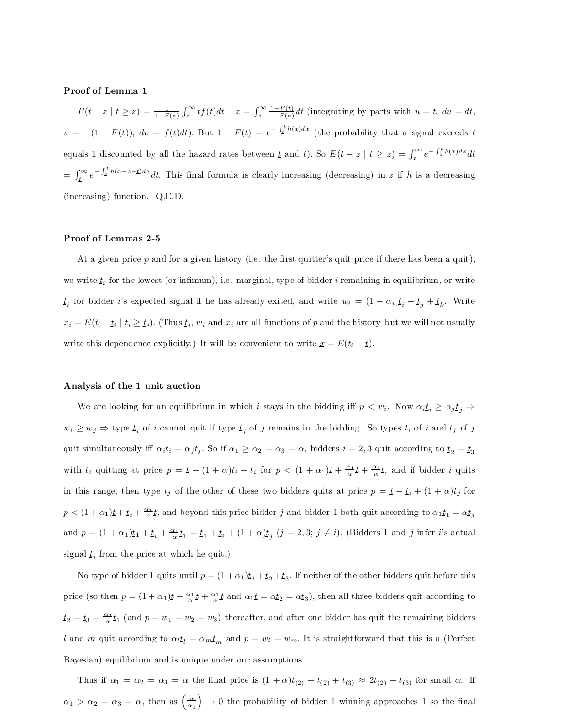#### Proof of Lemma 1

 $E(t - z \mid t \geq z) = \frac{1}{1 - F(z)} \int_z^{\infty} t f(t) dt - z = \int_z^{\infty} \frac{1 - F(t)}{1 - F(z)}$  $\frac{1-F(t)}{1-F(z)}dt$  (integrating by parts with  $u=t$ ,  $du = dt$ ,  $v = -(1 - F(t)), dv = f(t)dt$ . But  $1 - F(t) = e^{-\int_{-t}^{t} h(x)dx}$  (the probability that a signal exceeds t equals 1 discounted by all the hazard rates between  $t$  and  $t$ ). So  $E(t - z \mid t \geq z) = \int_{z}^{\infty} e^{-\int_{z}^{t} h(x) dx} dt$  $=\int_{\mathbf{\LARGEL}}^{\infty} e^{-\int_{\mathbf{\LARGEL}}^{\mathbf{\LARGEL}} h(x+z-\mathbf{\LARGEL})dx} dt$ . This final formula is clearly increasing (decreasing) in z if h is a decreasing (increasing) function. Q.E.D.

### Proof of Lemmas 2-5

At a given price  $p$  and for a given history (i.e. the first quitter's quit price if there has been a quit), we write  $t_i$  for the lowest (or infimum), i.e. marginal, type of bidder *i* remaining in equilibrium, or write  $t_i$  for bidder i's expected signal if he has already exited, and write  $w_i = (1 + \alpha_i)t_i + t_j + t_k$ . Write  $x_i = E(t_i - t_i \mid t_i \ge t_i)$ . (Thus  $t_i$ ,  $w_i$  and  $x_i$  are all functions of p and the history, but we will not usually write this dependence explicitly.) It will be convenient to write  $\underline{x} = E(t_i - \underline{t}).$ 

### Analysis of the 1 unit auction

We are looking for an equilibrium in which *i* stays in the bidding iff  $p < w_i$ . Now  $\alpha_i t_i \geq \alpha_j t_j \Rightarrow$  $w_i \geq w_j \Rightarrow$  type  $t_i$  of i cannot quit if type  $t_j$  of j remains in the bidding. So types  $t_i$  of i and  $t_j$  of j quit simultaneously iff  $\alpha_i t_i = \alpha_j t_j$ . So if  $\alpha_1 \ge \alpha_2 = \alpha_3 = \alpha$ , bidders  $i = 2, 3$  quit according to  $t_2 = t_3$ with  $t_i$  quitting at price  $p = \mathbf{t} + (1 + \alpha)t_i + t_i$  for  $p < (1 + \alpha_1)\mathbf{t} + \frac{\alpha_1}{\alpha}\mathbf{t} + \frac{\alpha_2}{\alpha}\mathbf{t}$ , and if bidder i quits in this range, then type  $t_j$  of the other of these two bidders quits at price  $p = t + t_i + (1 + \alpha)t_j$  for  $p < (1 + \alpha_1)t + t_i + \frac{\alpha_1}{\alpha}t$ , and beyond this price bidder j and bidder 1 both quit according to  $\alpha_1 t_1 = \alpha t_j$ and  $p = (1 + \alpha_1) \underline{t}_1 + \underline{t}_i + \frac{\alpha_1}{\alpha} \underline{t}_1 = \underline{t}_1 + \underline{t}_i + (1 + \alpha) \underline{t}_j \ (j = 2, 3; j \neq i)$ . (Bidders 1 and j infer i's actual signal  $t_i$  from the price at which he quit.)

No type of bidder 1 quits until  $p = (1 + \alpha_1)t_1 + t_2 + t_3$ . If neither of the other bidders quit before this price (so then  $p = (1 + \alpha_1)t + \frac{\alpha_1}{\alpha}t + \frac{\alpha_1}{\alpha}t$  and  $\alpha_1 t = \alpha t_2 = \alpha t_3$ ), then all three bidders quit according to  $t_2 = t_3 = \frac{\alpha_1}{\alpha} t_1$  (and  $p = w_1 = w_2 = w_3$ ) thereafter, and after one bidder has quit the remaining bidders l and m quit according to  $\alpha_l t_l = \alpha_m t_m$  and  $p = w_l = w_m$ . It is straightforward that this is a (Perfect Bayesian) equilibrium and is unique under our assumptions.

Thus if  $\alpha_1 = \alpha_2 = \alpha_3 = \alpha$  the final price is  $(1 + \alpha)t_{(2)} + t_{(3)} \approx 2t_{(2)} + t_{(3)}$  for small  $\alpha$ . If  $\alpha_1 > \alpha_2 = \alpha_3 = \alpha$ , then as  $\left(\frac{\alpha}{\alpha_1}\right)$  $\big) \rightarrow 0$  the probability of bidder 1 winning approaches 1 so the final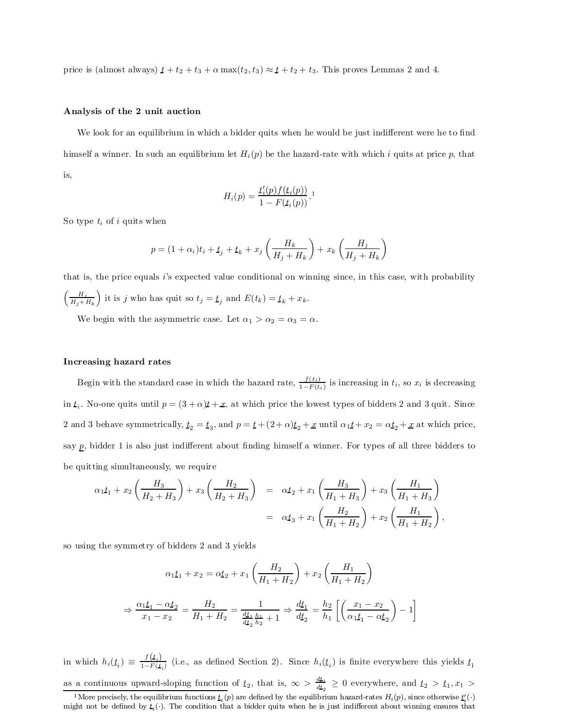price is (almost always)  $t + t_2 + t_3 + \alpha \max(t_2, t_3) \approx t + t_2 + t_3$ . This proves Lemmas 2 and 4.

### Analysis of the 2 unit auction

We look for an equilibrium in which a bidder quits when he would be just indifferent were he to find himself a winner. In such an equilibrium let  $H_i(p)$  be the hazard-rate with which i quits at price p, that is,

$$
H_i(p) = \frac{t'_i(p)f(t_i(p))}{1 - F(t_i(p))}.
$$

So type  $t_i$  of i quits when

$$
p = (1 + \alpha_i)t_i + t_j + t_k + x_j \left(\frac{H_k}{H_j + H_k}\right) + x_k \left(\frac{H_j}{H_j + H_k}\right)
$$

that is, the price equals  $i$ 's expected value conditional on winning since, in this case, with probability  $\left( \begin{array}{cc} H_i \end{array} \right)$  $H_j+H_k$ ) it is j who has quit so  $t_j = t_j$  and  $E(t_k) = t_k + x_k$ .

We begin with the asymmetric case. Let  $\alpha_1 > \alpha_2 = \alpha_3 = \alpha$ .

#### Increasing hazard rates

Begin with the standard case in which the hazard rate,  $\frac{f(t_i)}{1-F(t_i)}$  $\frac{I(t_i)}{1-F(t_i)}$  is increasing in  $t_i$ , so  $x_i$  is decreasing in  $t_i$ . No-one quits until  $p = (3 + \alpha)t + x$ , at which price the lowest types of bidders 2 and 3 quit. Since 2 and 3 behave symmetrically,  $t_2 = t_3$ , and  $p = t + (2+\alpha)t_2 + x$  until  $\alpha_1 t + x_2 = \alpha t_2 + x$  at which price, say  $p$ , bidder 1 is also just indifferent about finding himself a winner. For types of all three bidders to be quitting simultaneously, we require

$$
\alpha_1 t_1 + x_2 \left( \frac{H_3}{H_2 + H_3} \right) + x_3 \left( \frac{H_2}{H_2 + H_3} \right) = \alpha t_2 + x_1 \left( \frac{H_3}{H_1 + H_3} \right) + x_3 \left( \frac{H_1}{H_1 + H_3} \right)
$$
  
=  $\alpha t_3 + x_1 \left( \frac{H_2}{H_1 + H_2} \right) + x_2 \left( \frac{H_1}{H_1 + H_2} \right),$ 

so using the symmetry of bidders 2 and 3 yields

$$
\alpha_1 t_1 + x_2 = \alpha t_2 + x_1 \left(\frac{H_2}{H_1 + H_2}\right) + x_2 \left(\frac{H_1}{H_1 + H_2}\right)
$$

$$
\Rightarrow \frac{\alpha_1 t_1 - \alpha t_2}{x_1 - x_2} = \frac{H_2}{H_1 + H_2} = \frac{1}{\frac{d t_1}{d t_2} \frac{h_1}{h_2} + 1} \Rightarrow \frac{d t_1}{d t_2} = \frac{h_2}{h_1} \left[ \left(\frac{x_1 - x_2}{\alpha_1 t_1 - \alpha t_2}\right) - 1 \right]
$$

in which  $h_i(\underline{t}_i) \equiv \frac{f(\underline{t}_i)}{1-F(\underline{t}_i)}$  $\frac{f(z_i)}{1-F(z_i)}$  (i.e., as defined Section 2). Since  $h_i(t_i)$  is finite everywhere this yields  $t_1$ 

as a continuous upward-sloping function of  $t_2$ , that is,  $\infty > \frac{dt_1}{dt_2}$  $\frac{d\mathcal{L}_1}{dt_2} \geq 0$  everywhere, and  $t_2 > t_1, x_1 >$ <sup>1</sup>More precisely, the equilibrium functions  $t_i(p)$  are defined by the equilibrium hazard-rates  $H_i(p)$ , since otherwise  $t_i'(\cdot)$ 

might not be defined by  $t_i(\cdot)$ . The condition that a bidder quits when he is just indifferent about winning ensures that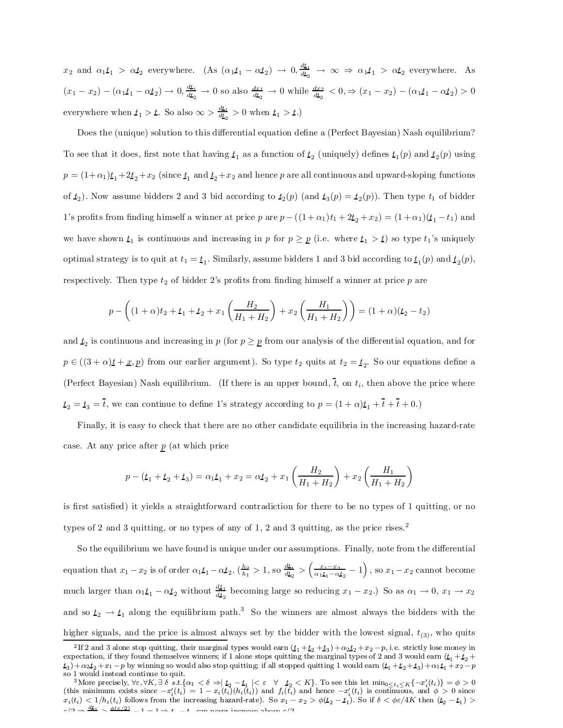$x_2$  and  $\alpha_1 t_1 > \alpha t_2$  everywhere. (As  $(\alpha_1 t_1 - \alpha t_2) \rightarrow 0, \frac{d t_1}{d t_2}$  $\frac{d\mathbf{z}_1}{dt_2} \rightarrow \infty \Rightarrow \alpha_1 t_1 > \alpha t_2$  everywhere. As  $(x_1-x_2) - (\alpha_1 \underline{t}_1 - \alpha \underline{t}_2) \rightarrow 0, \frac{d\underline{t}_1}{d\underline{t}_2}$  $\frac{d\mathbf{t}_1}{dt_2} \to 0$  so also  $\frac{dx_1}{dt_2} \to 0$  while  $\frac{dx_2}{dt_2} < 0, \Rightarrow (x_1 - x_2) - (\alpha_1 \mathbf{t}_1 - \alpha \mathbf{t}_2) > 0$ everywhere when  $t_1 > t$ . So also  $\infty > \frac{d t_1}{d t_2}$  $\frac{d\mathbf{L}_1}{dt_2} > 0$  when  $t_1 > t$ .)

Does the (unique) solution to this differential equation define a (Perfect Bayesian) Nash equilibrium? To see that it does, first note that having  $t_1$  as a function of  $t_2$  (uniquely) defines  $t_1(p)$  and  $t_2(p)$  using  $p = (1+\alpha_1)t_1 + 2t_2 + x_2$  (since  $t_1$  and  $t_2 + x_2$  and hence p are all continuous and upward-sloping functions of  $t_2$ ). Now assume bidders 2 and 3 bid according to  $t_2(p)$  (and  $t_3(p) = t_2(p)$ ). Then type  $t_1$  of bidder 1's profits from finding himself a winner at price p are  $p - ((1 + \alpha_1)t_1 + 2t_2 + x_2) = (1 + \alpha_1)(t_1 - t_1)$  and we have shown  $t_1$  is continuous and increasing in p for  $p \geq p$  (i.e. where  $t_1 > t$ ) so type  $t_1$ 's uniquely optimal strategy is to quit at  $t_1 = t_1$ . Similarly, assume bidders 1 and 3 bid according to  $t_1(p)$  and  $t_2(p)$ , respectively. Then type  $t_2$  of bidder 2's profits from finding himself a winner at price p are

$$
p - \left( (1 + \alpha)t_2 + t_1 + t_2 + x_1 \left( \frac{H_2}{H_1 + H_2} \right) + x_2 \left( \frac{H_1}{H_1 + H_2} \right) \right) = (1 + \alpha)(t_2 - t_2)
$$

and  $t_2$  is continuous and increasing in p (for  $p \geq p$  from our analysis of the differential equation, and for  $p \in ((3 + \alpha)t + x, p)$  from our earlier argument). So type  $t_2$  quits at  $t_2 = t_2$ . So our equations define a (Perfect Bayesian) Nash equilibrium. (If there is an upper bound,  $t$ , on  $t_i$ , then above the price where  $t_2 = t_3 = t$ , we can continue to define 1's strategy according to  $p = (1 + \alpha)t_1 + t + t + 0$ .)

Finally, it is easy to check that there are no other candidate equilibria in the increasing hazard-rate case. At any price after  $p$  (at which price

$$
p - (t_1 + t_2 + t_3) = \alpha_1 t_1 + x_2 = \alpha t_2 + x_1 \left(\frac{H_2}{H_1 + H_2}\right) + x_2 \left(\frac{H_1}{H_1 + H_2}\right)
$$

is first satisfied) it yields a straightforward contradiction for there to be no types of 1 quitting, or no types of 2 and 3 quitting, or no types of any of 1, 2 and 3 quitting, as the price rises. 2

So the equilibrium we have found is unique under our assumptions. Finally, note from the differential equation that  $x_1 - x_2$  is of order  $\alpha_1 t_1 - \alpha t_2$ .  $\left(\frac{h_2}{h_1}\right) > 1$ , so  $\frac{dt_1}{dt_2}$  $\frac{d\mathbf{t_1}}{dt_2} > (\frac{x_1 - x_2}{\alpha_1 \mathbf{t_1} - \alpha \mathbf{t_2}} - 1), \text{ so } x_1 - x_2 \text{ cannot become}$ much larger than  $\alpha_1 \underline{t}_1 - \alpha \underline{t}_2$  without  $\frac{d\underline{t}_1}{d\underline{t}_2}$  $\frac{dy_1}{dt_2}$  becoming large so reducing  $x_1 - x_2$ .) So as  $\alpha_1 \to 0$ ,  $x_1 \to x_2$ and so  $t_2 \rightarrow t_1$  along the equilibrium path.<sup>3</sup> So the winners are almost always the bidders with the higher signals, and the price is almost always set by the bidder with the lowest signal,  $t_{(3)}$ , who quits

<sup>&</sup>lt;sup>2</sup>If 2 and 3 alone stop quitting, their marginal types would earn  $(t_1 + t_2 + t_3) + \alpha_2 t_2 + x_2 - p$ , i.e. strictly lose money in expectation, if they found themselves winners; if 1 alone stops quitting the marginal types of 2 and 3 would earn  $(t_1 + t_2 + t_3)$  $(t_3) + \alpha_2 t_2 + x_1 - p$  by winning so would also stop quitting; if all stopped quitting 1 would earn  $(t_1 + t_2 + t_3) + \alpha_1 t_1 + x_2 - p$ so 1 would instead continue to quit.

 ${}^{3}$ More precisely,  $\forall \varepsilon, \forall K, \exists \delta \ s.t. \{\alpha_1 < \delta \Rightarrow |t_2 - t_1| < \varepsilon \ \forall \ t_2 < K\}$ . To see this let  $\min_{0 \le t_i \le K} \{-x_i'(t_i)\} = \phi > 0$ (this minimum exists since  $-x_i'(t_i) = 1 - x_i(t_i)(h_i(t_i))$  and  $f_i(t_i)$  and hence  $-x_i'(t_i)$  is continuous, and  $\phi > 0$  since  $x_i(t_i) < 1/h_i(t_i)$  follows from the increasing hazard-rate). So  $x_1 - x_2 > \phi(t_2 - t_1)$ . So if  $\delta < \phi \varepsilon/4K$  then  $(t_2 - t_1) >$  $\epsilon/9 \rightarrow \frac{dt_1}{t_1} \times \frac{\phi(\epsilon/2)}{t_1}$   $1 - 1 \rightarrow t$  t can never increase above  $\epsilon/9$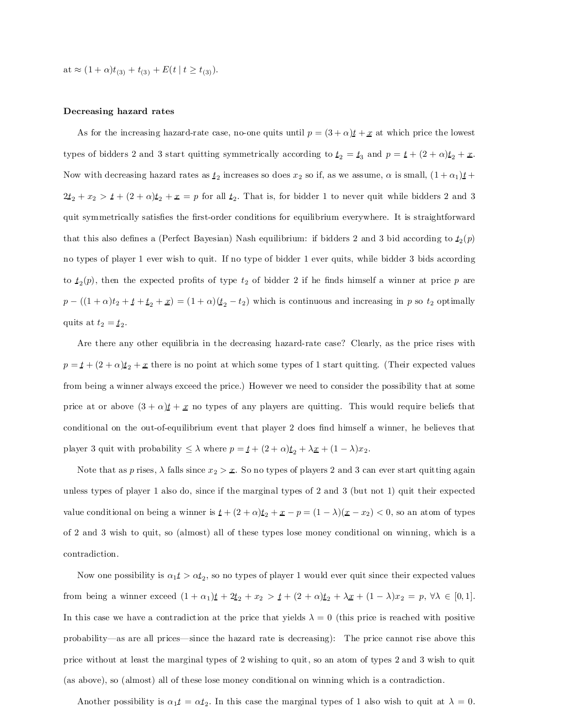at  $\approx (1+\alpha)t_{(3)} + t_{(3)} + E(t \mid t \geq t_{(3)}).$ 

#### Decreasing hazard rates

As for the increasing hazard-rate case, no-one quits until  $p = (3 + \alpha)t + x$  at which price the lowest types of bidders 2 and 3 start quitting symmetrically according to  $t_2 = t_3$  and  $p = t + (2 + \alpha)t_2 + x$ . Now with decreasing hazard rates as  $t_2$  increases so does  $x_2$  so if, as we assume,  $\alpha$  is small,  $(1+\alpha_1)t$  +  $2t_2 + x_2 > t + (2+\alpha)t_2 + x = p$  for all  $t_2$ . That is, for bidder 1 to never quit while bidders 2 and 3 quit symmetrically satisfies the first-order conditions for equilibrium everywhere. It is straightforward that this also defines a (Perfect Bayesian) Nash equilibrium: if bidders 2 and 3 bid according to  $t_2(p)$ no types of player 1 ever wish to quit. If no type of bidder 1 ever quits, while bidder 3 bids according to  $t_2(p)$ , then the expected profits of type  $t_2$  of bidder 2 if he finds himself a winner at price p are  $p - ((1 + \alpha)t_2 + t_1 + t_2 + x) = (1 + \alpha)(t_2 - t_2)$  which is continuous and increasing in p so  $t_2$  optimally quits at  $t_2 = \underline{t}_2$ .

Are there any other equilibria in the decreasing hazard-rate case? Clearly, as the price rises with  $p = t + (2 + \alpha)t_2 + x$  there is no point at which some types of 1 start quitting. (Their expected values from being a winner always exceed the price.) However we need to consider the possibility that at some price at or above  $(3 + \alpha)t + x$  no types of any players are quitting. This would require beliefs that conditional on the out-of-equilibrium event that player 2 does find himself a winner, he believes that player 3 quit with probability  $\leq \lambda$  where  $p = \underline{t} + (2 + \alpha)\underline{t}_2 + \lambda \underline{x} + (1 - \lambda)x_2$ .

Note that as p rises,  $\lambda$  falls since  $x_2 > x$ . So no types of players 2 and 3 can ever start quitting again unless types of player 1 also do, since if the marginal types of 2 and 3 (but not 1) quit their expected value conditional on being a winner is  $\underline{t} + (2 + \alpha)\underline{t}_2 + \underline{x} - \underline{p} = (1 - \lambda)(\underline{x} - x_2) < 0$ , so an atom of types of 2 and 3 wish to quit, so (almost) all of these types lose money conditional on winning, which is a contradiction.

Now one possibility is  $\alpha_1 t > \alpha t_2$ , so no types of player 1 would ever quit since their expected values from being a winner exceed  $(1 + \alpha_1)t + 2t_2 + x_2 > t + (2 + \alpha)t_2 + \lambda x + (1 - \lambda)x_2 = p, \forall \lambda \in [0, 1].$ In this case we have a contradiction at the price that yields  $\lambda = 0$  (this price is reached with positive probability—as are all prices—since the hazard rate is decreasing): The price cannot rise above this price without at least the marginal types of 2 wishing to quit, so an atom of types 2 and 3 wish to quit (as above), so (almost) all of these lose money conditional on winning which is a contradiction.

Another possibility is  $\alpha_1 t = \alpha t_2$ . In this case the marginal types of 1 also wish to quit at  $\lambda = 0$ .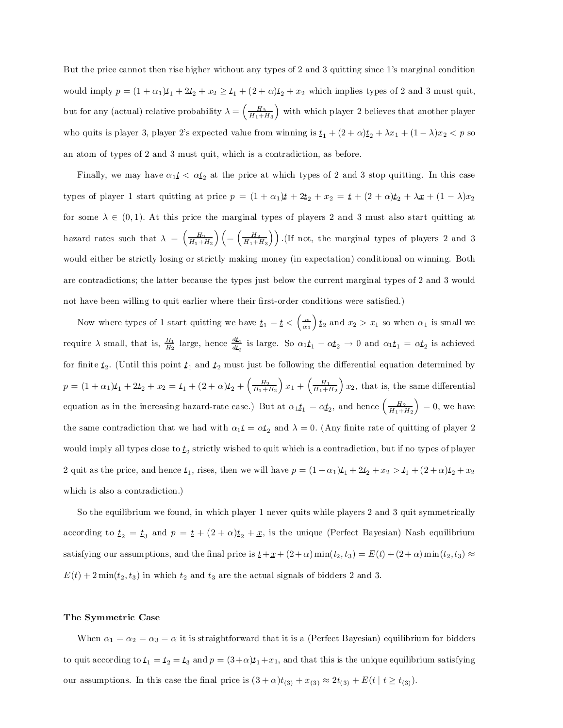But the price cannot then rise higher without any types of 2 and 3 quitting since 1's marginal condition would imply  $p = (1 + \alpha_1)t_1 + 2t_2 + x_2 \ge t_1 + (2 + \alpha)t_2 + x_2$  which implies types of 2 and 3 must quit, but for any (actual) relative probability  $\lambda = \left(\frac{H_3}{H_1 + H_3}\right)$ ) with which player 2 believes that another player who quits is player 3, player 2's expected value from winning is  $\underline{t}_1 + (2 + \alpha)\underline{t}_2 + \lambda x_1 + (1 - \lambda)x_2 < p$  so an atom of types of 2 and 3 must quit, which is a contradiction, as before.

Finally, we may have  $\alpha_1 t < \alpha t_2$  at the price at which types of 2 and 3 stop quitting. In this case types of player 1 start quitting at price  $p = (1 + \alpha_1)t + 2t_2 + x_2 = t + (2 + \alpha)t_2 + \lambda x + (1 - \lambda)x_2$ for some  $\lambda \in (0,1)$ . At this price the marginal types of players 2 and 3 must also start quitting at hazard rates such that  $\lambda = \left(\frac{H_2}{H_1 + H_2}\right)$  $\bigg) \bigg( = \bigg(\frac{H_3}{H_1+H_3}$  $\binom{1}{1}$ . (If not, the marginal types of players 2 and 3) would either be strictly losing or strictly making money (in expectation) conditional on winning. Both are contradictions; the latter because the types just below the current marginal types of 2 and 3 would not have been willing to quit earlier where their first-order conditions were satisfied.)

Now where types of 1 start quitting we have  $t_1 = t < \left(\frac{\alpha}{\alpha_1}\right)$  $\int t_2$  and  $x_2 > x_1$  so when  $\alpha_1$  is small we require  $\lambda$  small, that is,  $\frac{H_1}{H_2}$  large, hence  $\frac{d\underline{t}_1}{dt_2}$  $\frac{d\mathbf{L}_1}{d\mathbf{L}_2}$  is large. So  $\alpha_1 \mathbf{L}_1 - \alpha \mathbf{L}_2 \rightarrow 0$  and  $\alpha_1 \mathbf{L}_1 = \alpha \mathbf{L}_2$  is achieved for finite  $t_2$ . (Until this point  $t_1$  and  $t_2$  must just be following the differential equation determined by  $p = (1 + \alpha_1)t_1 + 2t_2 + x_2 = t_1 + (2 + \alpha)t_2 + \left(\frac{H_2}{H_1 + H_2}\right)$  $x_1 + \left(\frac{H_1}{H_1 + H_2}\right)$  $x_2$ , that is, the same differential equation as in the increasing hazard-rate case.) But at  $\alpha_1 t_1 = \alpha t_2$ , and hence  $\left(\frac{H_2}{H_1 + H_2}\right)$  $= 0$ , we have the same contradiction that we had with  $\alpha_1 t = \alpha t_2$  and  $\lambda = 0$ . (Any finite rate of quitting of player 2) would imply all types close to  $t_2$  strictly wished to quit which is a contradiction, but if no types of player 2 quit as the price, and hence  $t_1$ , rises, then we will have  $p = (1 + \alpha_1)t_1 + 2t_2 + x_2 > t_1 + (2 + \alpha)t_2 + x_2$ which is also a contradiction.)

So the equilibrium we found, in which player 1 never quits while players 2 and 3 quit symmetrically according to  $t_2 = t_3$  and  $p = t + (2 + \alpha)t_2 + x$ , is the unique (Perfect Bayesian) Nash equilibrium satisfying our assumptions, and the final price is  $t + x + (2+\alpha) \min(t_2, t_3) = E(t) + (2+\alpha) \min(t_2, t_3) \approx$  $E(t) + 2\min(t_2, t_3)$  in which  $t_2$  and  $t_3$  are the actual signals of bidders 2 and 3.

### The Symmetric Case

When  $\alpha_1 = \alpha_2 = \alpha_3 = \alpha$  it is straightforward that it is a (Perfect Bayesian) equilibrium for bidders to quit according to  $t_1 = t_2 = t_3$  and  $p = (3+\alpha)t_1+x_1$ , and that this is the unique equilibrium satisfying our assumptions. In this case the final price is  $(3 + \alpha)t_{(3)} + x_{(3)} \approx 2t_{(3)} + E(t \mid t \ge t_{(3)}).$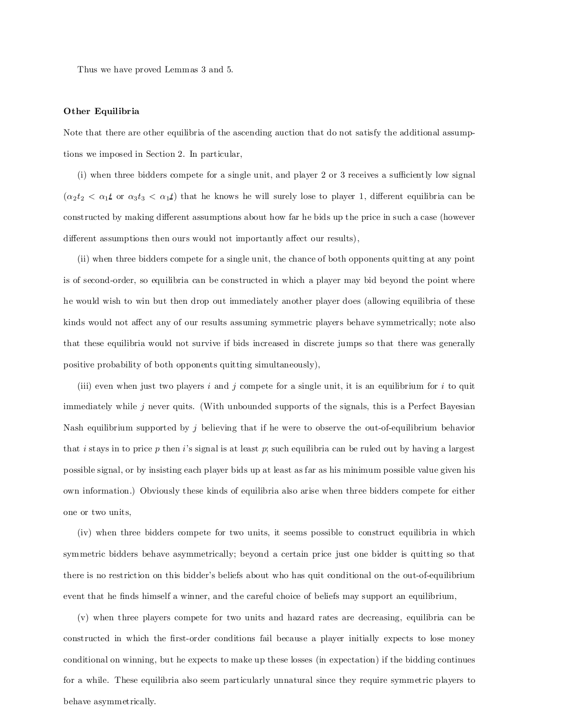Thus we have proved Lemmas 3 and 5.

### Other Equilibria

Note that there are other equilibria of the ascending auction that do not satisfy the additional assumptions we imposed in Section 2. In particular,

 $(i)$  when three bidders compete for a single unit, and player 2 or 3 receives a sufficiently low signal  $(\alpha_2 t_2 < \alpha_1 t$  or  $\alpha_3 t_3 < \alpha_1 t$ ) that he knows he will surely lose to player 1, different equilibria can be constructed by making different assumptions about how far he bids up the price in such a case (however different assumptions then ours would not importantly affect our results),

(ii) when three bidders compete for a single unit, the chance of both opponents quitting at any point is of second-order, so equilibria can be constructed in which a player may bid beyond the point where he would wish to win but then drop out immediately another player does (allowing equilibria of these kinds would not affect any of our results assuming symmetric players behave symmetrically; note also that these equilibria would not survive if bids increased in discrete jumps so that there was generally positive probability of both opponents quitting simultaneously),

(iii) even when just two players i and j compete for a single unit, it is an equilibrium for i to quite immediately while  $j$  never quits. (With unbounded supports of the signals, this is a Perfect Bayesian Nash equilibrium supported by j believing that if he were to observe the out-of-equilibrium behavior that i stays in to price  $p$  then i's signal is at least  $p$ ; such equilibria can be ruled out by having a largest possible signal, or by insisting each player bids up at least as far as his minimum possible value given his own information.) Obviously these kinds of equilibria also arise when three bidders compete for either one or two units,

(iv) when three bidders compete for two units, it seems possible to construct equilibria in which symmetric bidders behave asymmetrically; beyond a certain price just one bidder is quitting so that there is no restriction on this bidder's beliefs about who has quit conditional on the out-of-equilibrium event that he finds himself a winner, and the careful choice of beliefs may support an equilibrium,

(v) when three players compete for two units and hazard rates are decreasing, equilibria can be constructed in which the first-order conditions fail because a player initially expects to lose money conditional on winning, but he expects to make up these losses (in expectation) if the bidding continues for a while. These equilibria also seem particularly unnatural since they require symmetric players to behave asymmetrically.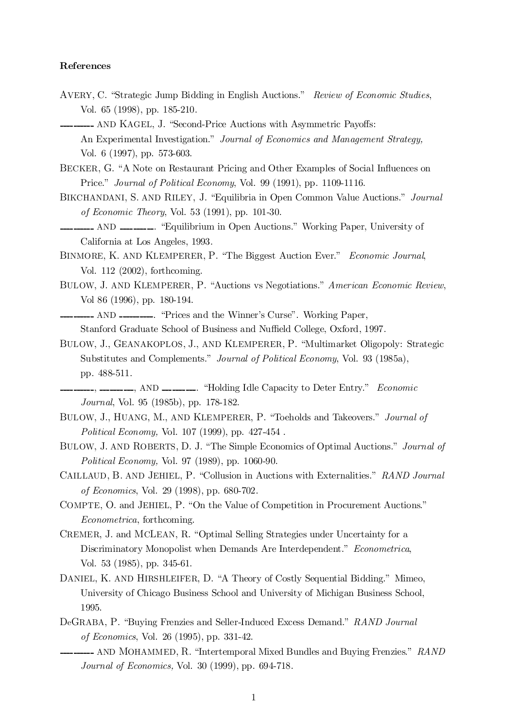## References

- AVERY, C. "Strategic Jump Bidding in English Auctions." Review of Economic Studies, Vol. 65 (1998), pp. 185-210.
- -------- AND KAGEL, J. "Second-Price Auctions with Asymmetric Payoffs: An Experimental Investigation." Journal of Economics and Management Strategy, Vol. 6 (1997), pp. 573-603.
- BECKER, G. "A Note on Restaurant Pricing and Other Examples of Social Influences on Price." Journal of Political Economy, Vol. 99 (1991), pp. 1109-1116.
- BIKCHANDANI, S. AND RILEY, J. "Equilibria in Open Common Value Auctions." Journal of Economic Theory, Vol. 53 (1991), pp. 101-30.
- $\text{L}$  AND  $\text{L}$   $\text{L}$   $\text{L}$   $\text{L}$   $\text{L}$   $\text{L}$   $\text{L}$   $\text{L}$   $\text{L}$   $\text{L}$   $\text{L}$   $\text{L}$   $\text{L}$   $\text{L}$   $\text{L}$   $\text{L}$   $\text{L}$   $\text{L}$   $\text{L}$   $\text{L}$   $\text{L}$   $\text{L}$   $\text{L}$   $\text{L}$   $\text{L}$   $\text{L}$   $\$ California at Los Angeles, 1993.
- BINMORE, K. AND KLEMPERER, P. "The Biggest Auction Ever." Economic Journal, Vol. 112 (2002), forthcoming.
- BULOW, J. AND KLEMPERER, P. "Auctions vs Negotiations." American Economic Review, Vol 86 (1996), pp. 180-194.

---------- AND ----------. "Prices and the Winner's Curse". Working Paper, Stanford Graduate School of Business and Nuffield College, Oxford, 1997.

- BULOW, J., GEANAKOPLOS, J., AND KLEMPERER, P. "Multimarket Oligopoly: Strategic Substitutes and Complements." Journal of Political Economy, Vol. 93 (1985a), pp. 488-511.
- 1. The Capacity to Deter Entry." Economic Journal, Vol. 95 (1985b), pp. 178-182.
- BULOW, J., HUANG, M., AND KLEMPERER, P. "Toeholds and Takeovers." Journal of Political Economy, Vol. 107 (1999), pp. 427-454 .
- BULOW, J. AND ROBERTS, D. J. "The Simple Economics of Optimal Auctions." Journal of Political Economy, Vol. 97 (1989), pp. 1060-90.
- CAILLAUD, B. AND JEHIEL, P. "Collusion in Auctions with Externalities." RAND Journal of Economics, Vol. 29 (1998), pp. 680-702.
- COMPTE, O. and JEHIEL, P. "On the Value of Competition in Procurement Auctions." Econometrica, forthcoming.
- CREMER, J. and MCLEAN, R. "Optimal Selling Strategies under Uncertainty for a Discriminatory Monopolist when Demands Are Interdependent." Econometrica, Vol. 53 (1985), pp. 345-61.
- DANIEL, K. AND HIRSHLEIFER, D. \A Theory of Costly Sequential Bidding." Mimeo, University of Chicago Business School and University of Michigan Business School, 1995.
- DeGRABA, P. "Buying Frenzies and Seller-Induced Excess Demand." RAND Journal of Economics, Vol. 26 (1995), pp. 331-42.
- **\_\_\_\_\_\_\_\_** AND MOHAMMED, R. "Intertemporal Mixed Bundles and Buying Frenzies." RAND Journal of Economics, Vol. 30 (1999), pp. 694-718.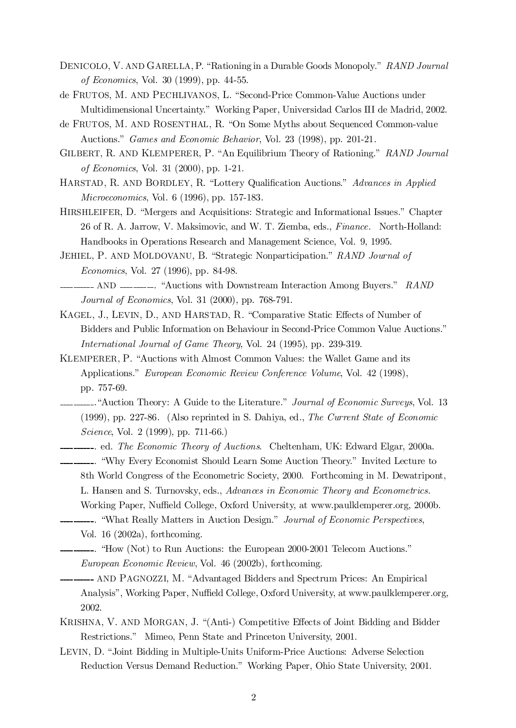- DENICOLO, V. AND GARELLA, P. "Rationing in a Durable Goods Monopoly." RAND Journal of Economics, Vol. 30 (1999), pp. 44-55.
- de FRUTOS, M. AND PECHLIVANOS, L. "Second-Price Common-Value Auctions under Multidimensional Uncertainty." Working Paper, Universidad Carlos III de Madrid, 2002.
- de FRUTOS, M. AND ROSENTHAL, R. "On Some Myths about Sequenced Common-value Auctions." Games and Economic Behavior, Vol. 23 (1998), pp. 201-21.
- GILBERT, R. AND KLEMPERER, P. "An Equilibrium Theory of Rationing." RAND Journal of Economics, Vol. 31 (2000), pp. 1-21.
- HARSTAD, R. AND BORDLEY, R. "Lottery Qualification Auctions." Advances in Applied Microeconomics, Vol. 6 (1996), pp. 157-183.
- HIRSHLEIFER, D. "Mergers and Acquisitions: Strategic and Informational Issues." Chapter 26 of R. A. Jarrow, V. Maksimovic, and W. T. Ziemba, eds., Finance. North-Holland: Handbooks in Operations Research and Management Science, Vol. 9, 1995.
- JEHIEL, P. AND MOLDOVANU, B. "Strategic Nonparticipation." RAND Journal of Economics, Vol. 27 (1996), pp. 84-98.
- AND **.** And the Salesman Structuream Interaction Among Buyers." RAND Journal of Economics, Vol. 31 (2000), pp. 768-791.
- KAGEL, J., LEVIN, D., AND HARSTAD, R. "Comparative Static Effects of Number of Bidders and Public Information on Behaviour in Second-Price Common Value Auctions." International Journal of Game Theory, Vol. 24 (1995), pp. 239-319.
- KLEMPERER, P. "Auctions with Almost Common Values: the Wallet Game and its Applications." European Economic Review Conference Volume, Vol. 42 (1998), pp. 757-69.
- **\_\_\_\_\_\_\_**. "Auction Theory: A Guide to the Literature." *Journal of Economic Surveys*, Vol. 13 (1999), pp. 227-86. (Also reprinted in S. Dahiya, ed., The Current State of Economic Science, Vol. 2 (1999), pp. 711-66.)
- ---------. ed. The Economic Theory of Auctions. Cheltenham, UK: Edward Elgar, 2000a. . \Why Every Economist Should Learn Some Auction Theory." Invited Lecture to 8th World Congress of the Econometric Society, 2000. Forthcoming in M. Dewatripont, L. Hansen and S. Turnovsky, eds., Advances in Economic Theory and Econometrics. Working Paper, Nuffield College, Oxford University, at www.paulklemperer.org, 2000b. **---------**. "What Really Matters in Auction Design." Journal of Economic Perspectives,

Vol. 16 (2002a), forthcoming.

- $\text{-}\text{-}\text{-}\text{-}\text{-}\text{-}$ . "How (Not) to Run Auctions: the European 2000-2001 Telecom Auctions." European Economic Review, Vol. 46 (2002b), forthcoming.
- **---------** AND PAGNOZZI, M. "Advantaged Bidders and Spectrum Prices: An Empirical Analysis", Working Paper, Nuffield College, Oxford University, at www.paulklemperer.org, 2002.
- KRISHNA, V. AND MORGAN, J. "(Anti-) Competitive Effects of Joint Bidding and Bidder Restrictions." Mimeo, Penn State and Princeton University, 2001.
- LEVIN, D. "Joint Bidding in Multiple-Units Uniform-Price Auctions: Adverse Selection Reduction Versus Demand Reduction." Working Paper, Ohio State University, 2001.